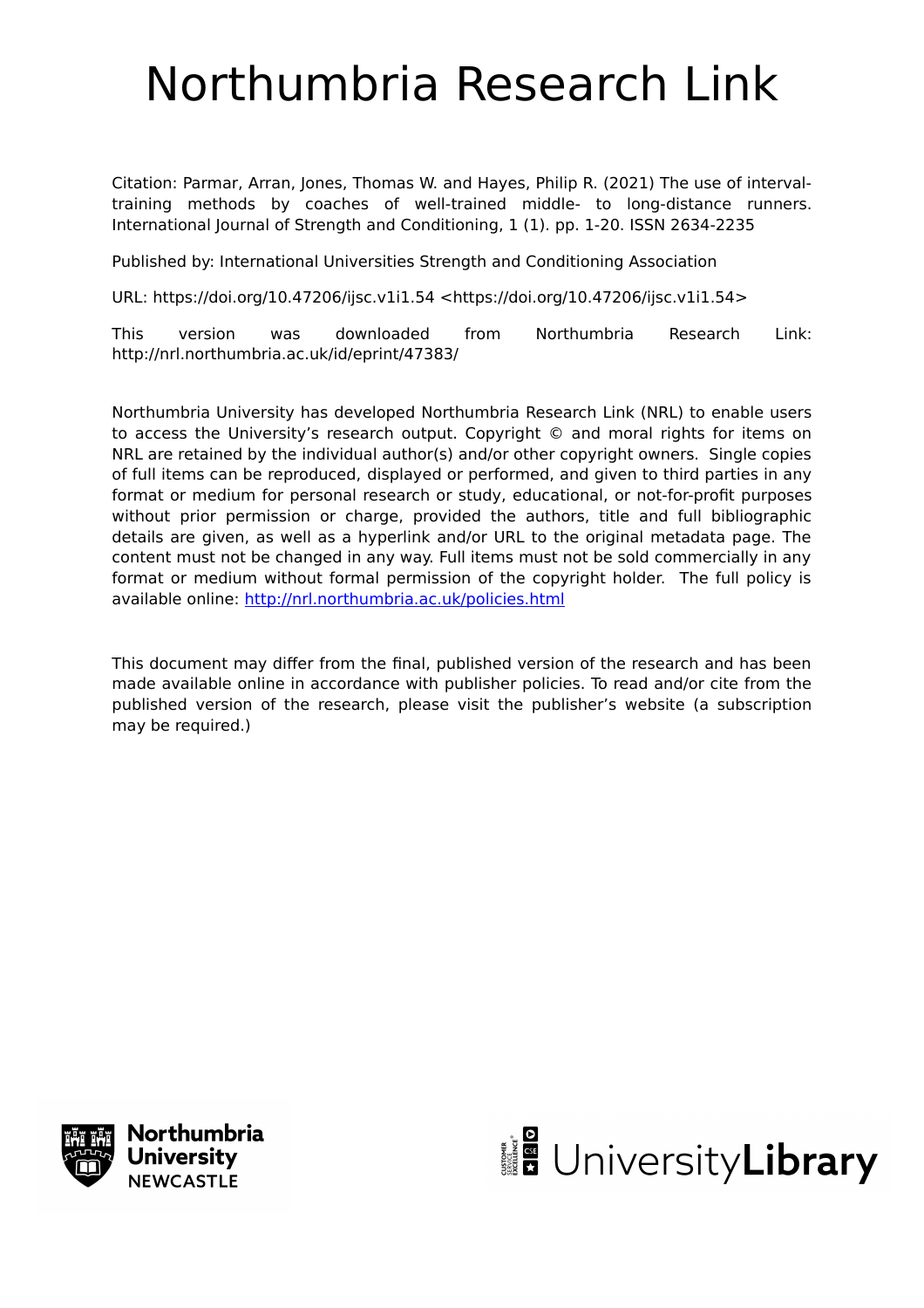# Northumbria Research Link

Citation: Parmar, Arran, Jones, Thomas W. and Hayes, Philip R. (2021) The use of intervaltraining methods by coaches of well-trained middle- to long-distance runners. International Journal of Strength and Conditioning, 1 (1). pp. 1-20. ISSN 2634-2235

Published by: International Universities Strength and Conditioning Association

URL: https://doi.org/10.47206/ijsc.v1i1.54 <https://doi.org/10.47206/ijsc.v1i1.54>

This version was downloaded from Northumbria Research Link: http://nrl.northumbria.ac.uk/id/eprint/47383/

Northumbria University has developed Northumbria Research Link (NRL) to enable users to access the University's research output. Copyright © and moral rights for items on NRL are retained by the individual author(s) and/or other copyright owners. Single copies of full items can be reproduced, displayed or performed, and given to third parties in any format or medium for personal research or study, educational, or not-for-profit purposes without prior permission or charge, provided the authors, title and full bibliographic details are given, as well as a hyperlink and/or URL to the original metadata page. The content must not be changed in any way. Full items must not be sold commercially in any format or medium without formal permission of the copyright holder. The full policy is available online:<http://nrl.northumbria.ac.uk/policies.html>

This document may differ from the final, published version of the research and has been made available online in accordance with publisher policies. To read and/or cite from the published version of the research, please visit the publisher's website (a subscription may be required.)



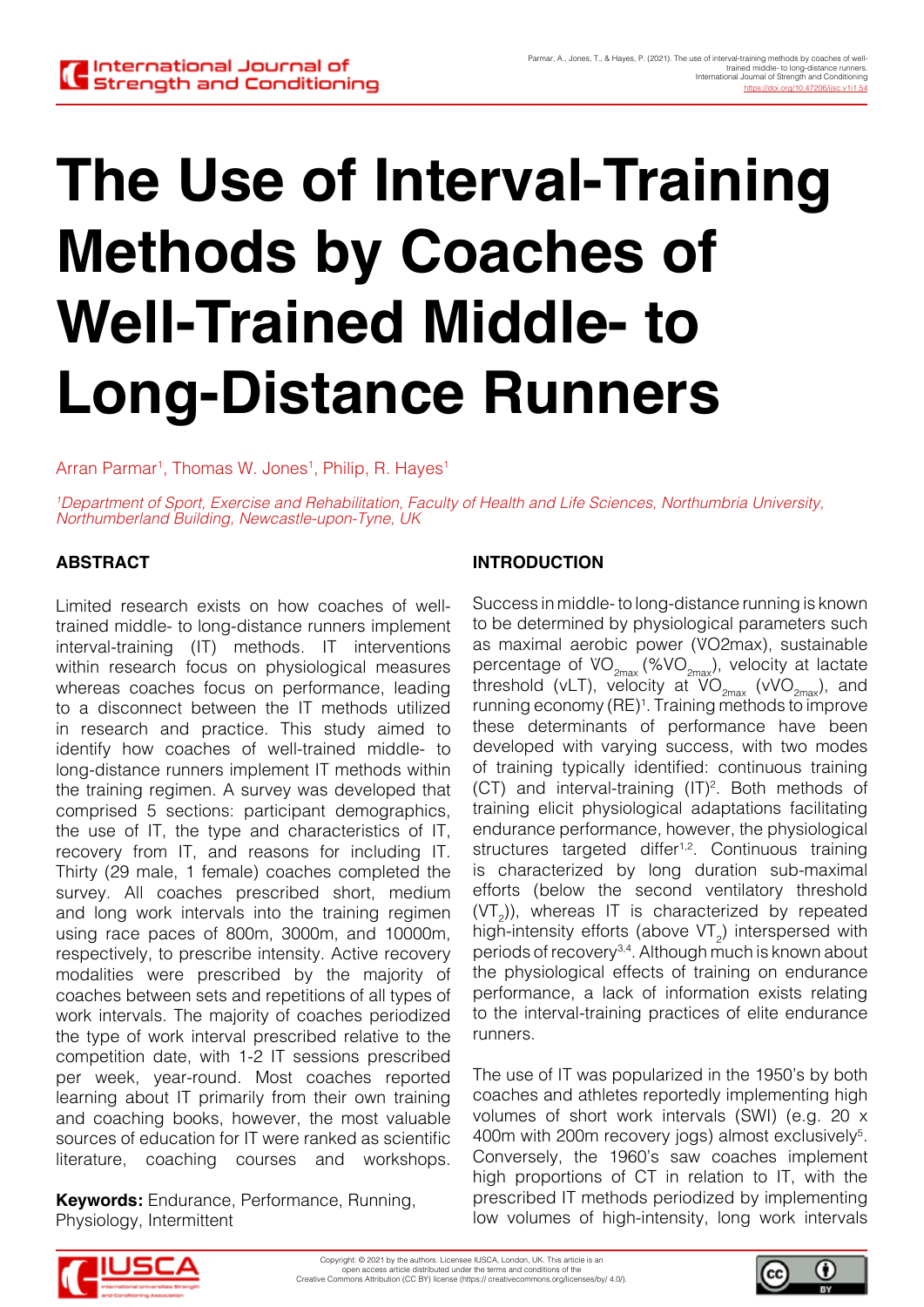# **The Use of Interval-Training Methods by Coaches of Well-Trained Middle- to Long-Distance Runners**

Arran Parmar<sup>1</sup>, Thomas W. Jones<sup>1</sup>, Philip, R. Hayes<sup>1</sup>

*1 Department of Sport, Exercise and Rehabilitation, Faculty of Health and Life Sciences, Northumbria University, Northumberland Building, Newcastle-upon-Tyne, UK*

# **ABSTRACT**

Limited research exists on how coaches of welltrained middle- to long-distance runners implement interval-training (IT) methods. IT interventions within research focus on physiological measures whereas coaches focus on performance, leading to a disconnect between the IT methods utilized in research and practice. This study aimed to identify how coaches of well-trained middle- to long-distance runners implement IT methods within the training regimen. A survey was developed that comprised 5 sections: participant demographics, the use of IT, the type and characteristics of IT, recovery from IT, and reasons for including IT. Thirty (29 male, 1 female) coaches completed the survey. All coaches prescribed short, medium and long work intervals into the training regimen using race paces of 800m, 3000m, and 10000m, respectively, to prescribe intensity. Active recovery modalities were prescribed by the majority of coaches between sets and repetitions of all types of work intervals. The majority of coaches periodized the type of work interval prescribed relative to the competition date, with 1-2 IT sessions prescribed per week, year-round. Most coaches reported learning about IT primarily from their own training and coaching books, however, the most valuable sources of education for IT were ranked as scientific literature, coaching courses and workshops.

**Keywords:** Endurance, Performance, Running, Physiology, Intermittent

#### **INTRODUCTION**

Success in middle- to long-distance running is known to be determined by physiological parameters such as maximal aerobic power (V̇O2max), sustainable percentage of  $VO_{2max}$  (%VO<sub>2max</sub>), velocity at lactate threshold (vLT), velocity at  $\overline{VO}_{2\text{max}}$  (vVO<sub>2max</sub>), and running economy (RE)<sup>1</sup>. Training methods to improve these determinants of performance have been developed with varying success, with two modes of training typically identified: continuous training  $(CT)$  and interval-training  $(IT)^2$ . Both methods of training elicit physiological adaptations facilitating endurance performance, however, the physiological structures targeted differ<sup>1,2</sup>. Continuous training is characterized by long duration sub-maximal efforts (below the second ventilatory threshold  $(VT<sub>2</sub>)$ ), whereas IT is characterized by repeated high-intensity efforts (above  $VT_2$ ) interspersed with periods of recovery3,4. Although much is known about the physiological effects of training on endurance performance, a lack of information exists relating to the interval-training practices of elite endurance runners.

The use of IT was popularized in the 1950's by both coaches and athletes reportedly implementing high volumes of short work intervals (SWI) (e.g. 20 x 400m with 200m recovery jogs) almost exclusively<sup>5</sup>. Conversely, the 1960's saw coaches implement high proportions of CT in relation to IT, with the prescribed IT methods periodized by implementing low volumes of high-intensity, long work intervals



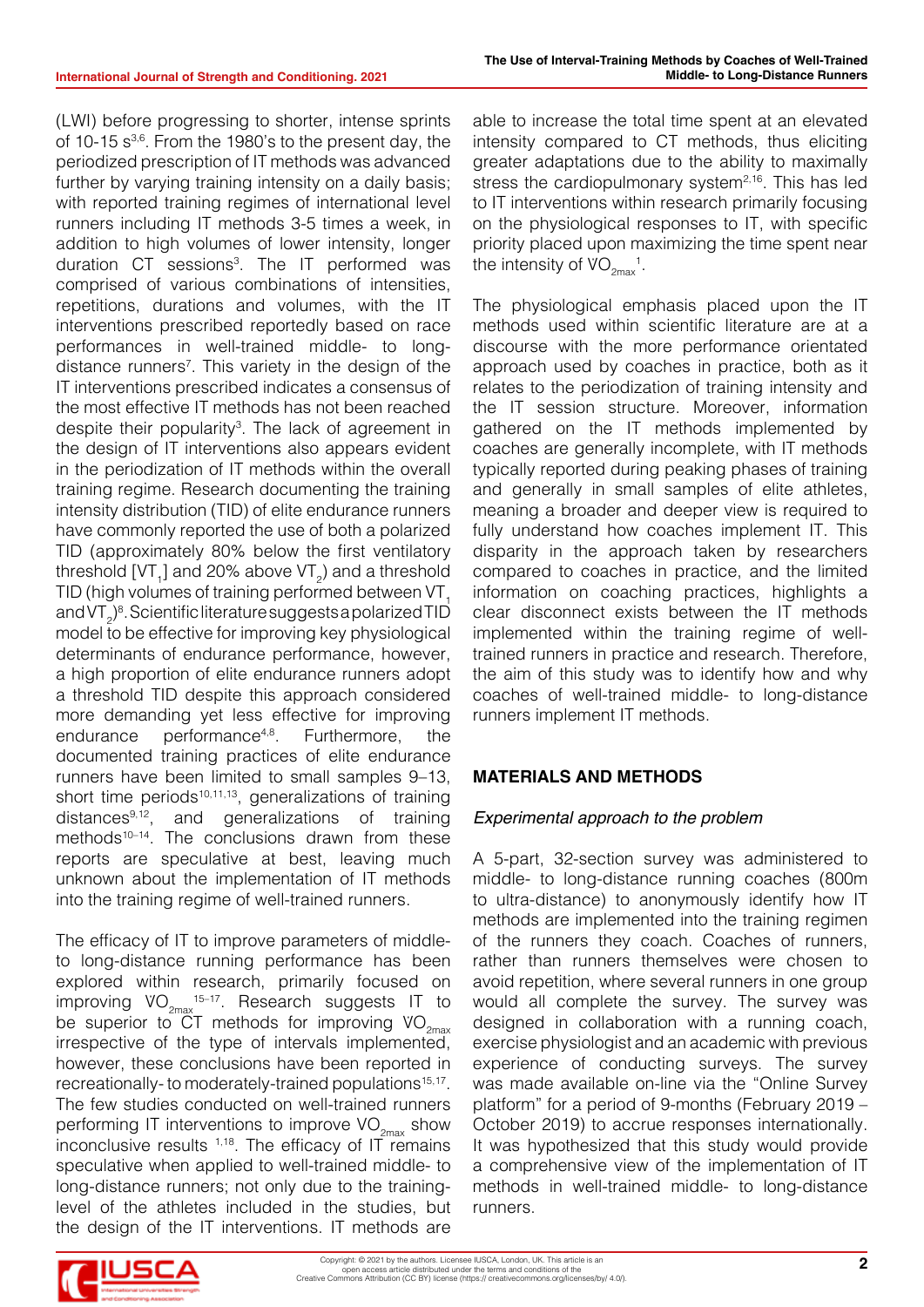(LWI) before progressing to shorter, intense sprints of 10-15  $s^{3,6}$ . From the 1980's to the present day, the periodized prescription of IT methods was advanced further by varying training intensity on a daily basis; with reported training regimes of international level runners including IT methods 3-5 times a week, in addition to high volumes of lower intensity, longer duration CT sessions<sup>3</sup>. The IT performed was comprised of various combinations of intensities, repetitions, durations and volumes, with the IT interventions prescribed reportedly based on race performances in well-trained middle- to longdistance runners<sup>7</sup>. This variety in the design of the IT interventions prescribed indicates a consensus of the most effective IT methods has not been reached despite their popularity<sup>3</sup>. The lack of agreement in the design of IT interventions also appears evident in the periodization of IT methods within the overall training regime. Research documenting the training intensity distribution (TID) of elite endurance runners have commonly reported the use of both a polarized TID (approximately 80% below the first ventilatory threshold [VT<sub>1</sub>] and 20% above VT<sub>2</sub>) and a threshold TID (high volumes of training performed between VT. and VT<sub>2</sub>)<sup>8</sup>. Scientific literature suggests a polarized TID model to be effective for improving key physiological determinants of endurance performance, however, a high proportion of elite endurance runners adopt a threshold TID despite this approach considered more demanding yet less effective for improving endurance performance4,8. Furthermore, the documented training practices of elite endurance runners have been limited to small samples 9–13, short time periods $10,11,13$ , generalizations of training distances9,12, and generalizations of training methods<sup>10-14</sup>. The conclusions drawn from these reports are speculative at best, leaving much unknown about the implementation of IT methods into the training regime of well-trained runners.

The efficacy of IT to improve parameters of middleto long-distance running performance has been explored within research, primarily focused on improving  $VO_{2\text{max}}$ <sup>15-17</sup>. Research suggests IT to be superior to CT methods for improving  $VO_{2\text{max}}$ irrespective of the type of intervals implemented, however, these conclusions have been reported in recreationally- to moderately-trained populations<sup>15,17</sup>. The few studies conducted on well-trained runners performing IT interventions to improve  $VO_{2\text{max}}$  show inconclusive results  $1,18$ . The efficacy of IT remains speculative when applied to well-trained middle- to long-distance runners; not only due to the traininglevel of the athletes included in the studies, but the design of the IT interventions. IT methods are

able to increase the total time spent at an elevated intensity compared to CT methods, thus eliciting greater adaptations due to the ability to maximally stress the cardiopulmonary system $2,16$ . This has led to IT interventions within research primarily focusing on the physiological responses to IT, with specific priority placed upon maximizing the time spent near the intensity of  $\mathrm{VO}_{2\mathrm{max}}^{-1}$ .

The physiological emphasis placed upon the IT methods used within scientific literature are at a discourse with the more performance orientated approach used by coaches in practice, both as it relates to the periodization of training intensity and the IT session structure. Moreover, information gathered on the IT methods implemented by coaches are generally incomplete, with IT methods typically reported during peaking phases of training and generally in small samples of elite athletes, meaning a broader and deeper view is required to fully understand how coaches implement IT. This disparity in the approach taken by researchers compared to coaches in practice, and the limited information on coaching practices, highlights a clear disconnect exists between the IT methods implemented within the training regime of welltrained runners in practice and research. Therefore, the aim of this study was to identify how and why coaches of well-trained middle- to long-distance runners implement IT methods.

# **MATERIALS AND METHODS**

# *Experimental approach to the problem*

A 5-part, 32-section survey was administered to middle- to long-distance running coaches (800m to ultra-distance) to anonymously identify how IT methods are implemented into the training regimen of the runners they coach. Coaches of runners, rather than runners themselves were chosen to avoid repetition, where several runners in one group would all complete the survey. The survey was designed in collaboration with a running coach, exercise physiologist and an academic with previous experience of conducting surveys. The survey was made available on-line via the "Online Survey platform" for a period of 9-months (February 2019 – October 2019) to accrue responses internationally. It was hypothesized that this study would provide a comprehensive view of the implementation of IT methods in well-trained middle- to long-distance runners.

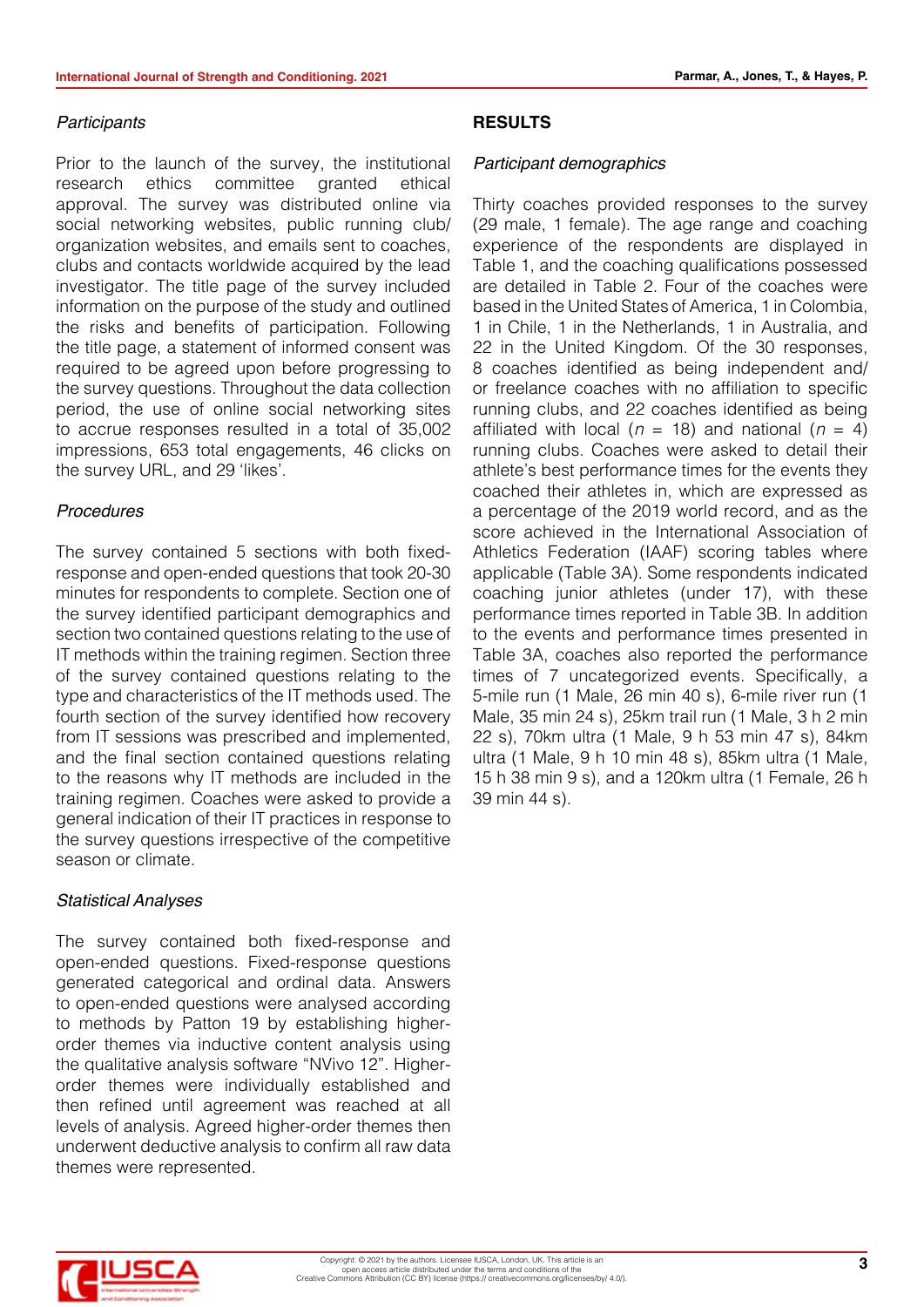#### *Participants*

Prior to the launch of the survey, the institutional research ethics committee granted ethical approval. The survey was distributed online via social networking websites, public running club/ organization websites, and emails sent to coaches, clubs and contacts worldwide acquired by the lead investigator. The title page of the survey included information on the purpose of the study and outlined the risks and benefits of participation. Following the title page, a statement of informed consent was required to be agreed upon before progressing to the survey questions. Throughout the data collection period, the use of online social networking sites to accrue responses resulted in a total of 35,002 impressions, 653 total engagements, 46 clicks on the survey URL, and 29 'likes'.

#### *Procedures*

The survey contained 5 sections with both fixedresponse and open-ended questions that took 20-30 minutes for respondents to complete. Section one of the survey identified participant demographics and section two contained questions relating to the use of IT methods within the training regimen. Section three of the survey contained questions relating to the type and characteristics of the IT methods used. The fourth section of the survey identified how recovery from IT sessions was prescribed and implemented, and the final section contained questions relating to the reasons why IT methods are included in the training regimen. Coaches were asked to provide a general indication of their IT practices in response to the survey questions irrespective of the competitive season or climate.

#### *Statistical Analyses*

The survey contained both fixed-response and open-ended questions. Fixed-response questions generated categorical and ordinal data. Answers to open-ended questions were analysed according to methods by Patton 19 by establishing higherorder themes via inductive content analysis using the qualitative analysis software "NVivo 12". Higherorder themes were individually established and then refined until agreement was reached at all levels of analysis. Agreed higher-order themes then underwent deductive analysis to confirm all raw data themes were represented.

#### **RESULTS**

#### *Participant demographics*

Thirty coaches provided responses to the survey (29 male, 1 female). The age range and coaching experience of the respondents are displayed in Table 1, and the coaching qualifications possessed are detailed in Table 2. Four of the coaches were based in the United States of America, 1 in Colombia, 1 in Chile, 1 in the Netherlands, 1 in Australia, and 22 in the United Kingdom. Of the 30 responses, 8 coaches identified as being independent and/ or freelance coaches with no affiliation to specific running clubs, and 22 coaches identified as being affiliated with local ( $n = 18$ ) and national ( $n = 4$ ) running clubs. Coaches were asked to detail their athlete's best performance times for the events they coached their athletes in, which are expressed as a percentage of the 2019 world record, and as the score achieved in the International Association of Athletics Federation (IAAF) scoring tables where applicable (Table 3A). Some respondents indicated coaching junior athletes (under 17), with these performance times reported in Table 3B. In addition to the events and performance times presented in Table 3A, coaches also reported the performance times of 7 uncategorized events. Specifically, a 5-mile run (1 Male, 26 min 40 s), 6-mile river run (1 Male, 35 min 24 s), 25km trail run (1 Male, 3 h 2 min 22 s), 70km ultra (1 Male, 9 h 53 min 47 s), 84km ultra (1 Male, 9 h 10 min 48 s), 85km ultra (1 Male, 15 h 38 min 9 s), and a 120km ultra (1 Female, 26 h 39 min 44 s).

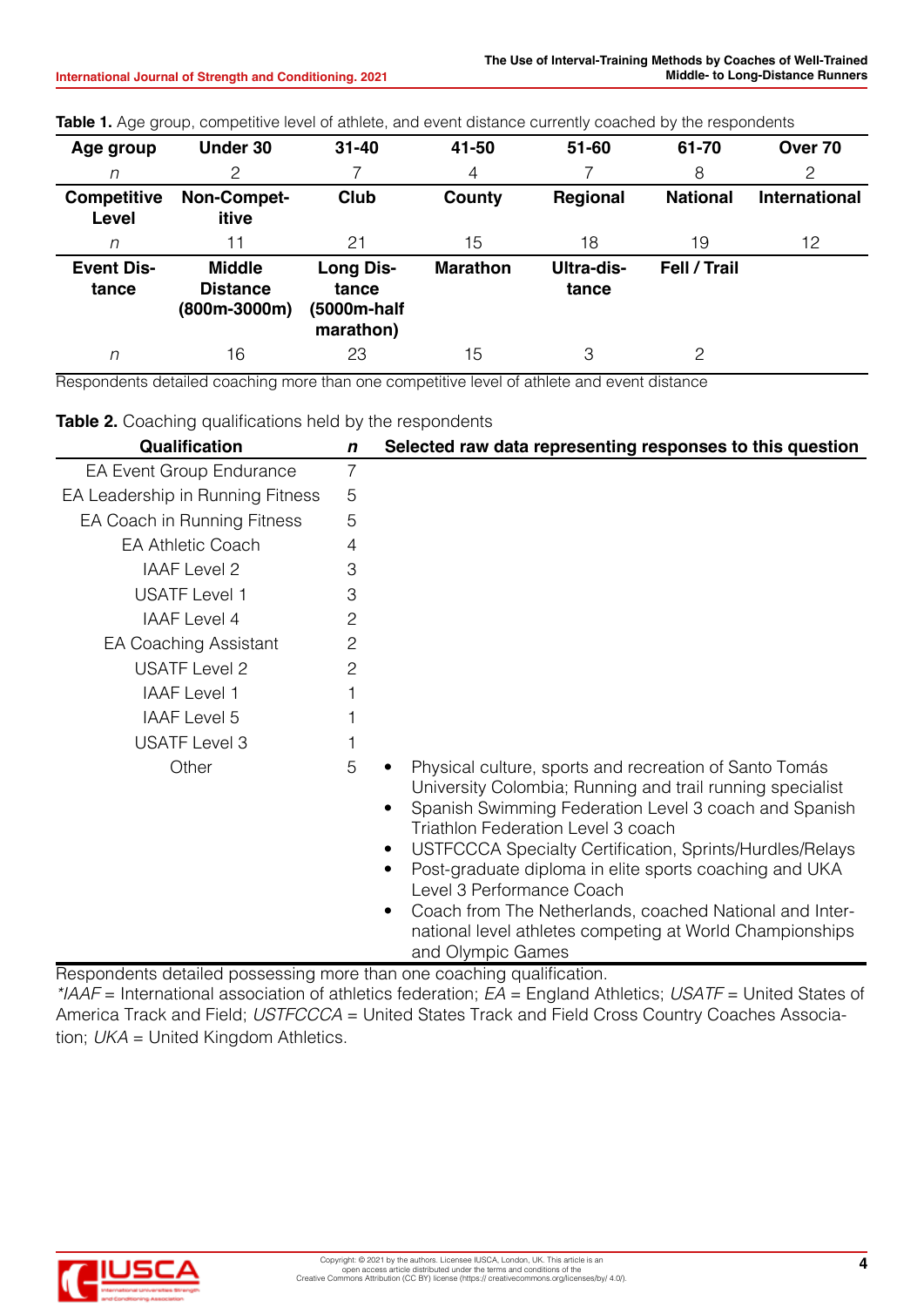| Age group                   | Under 30                                           | $31 - 40$                                             | 41-50           | $51 - 60$           | 61-70           | Over 70              |
|-----------------------------|----------------------------------------------------|-------------------------------------------------------|-----------------|---------------------|-----------------|----------------------|
| n                           | 2                                                  |                                                       | 4               |                     | 8               | 2                    |
| <b>Competitive</b><br>Level | Non-Compet-<br>itive                               | <b>Club</b>                                           | County          | Regional            | <b>National</b> | <b>International</b> |
| n                           | 11                                                 | 21                                                    | 15              | 18                  | 19              | 12                   |
| <b>Event Dis-</b><br>tance  | <b>Middle</b><br><b>Distance</b><br>$(800m-3000m)$ | <b>Long Dis-</b><br>tance<br>(5000m-half<br>marathon) | <b>Marathon</b> | Ultra-dis-<br>tance | Fell / Trail    |                      |
| n                           | 16                                                 | 23                                                    | 15              | 3                   | 2               |                      |

**Table 1.** Age group, competitive level of athlete, and event distance currently coached by the respondents

Respondents detailed coaching more than one competitive level of athlete and event distance

**Table 2.** Coaching qualifications held by the respondents

| Qualification                    | $\mathbf n$    | Selected raw data representing responses to this question                                                                                                                                                                                                                                                                                                                                                                                                                                                                               |
|----------------------------------|----------------|-----------------------------------------------------------------------------------------------------------------------------------------------------------------------------------------------------------------------------------------------------------------------------------------------------------------------------------------------------------------------------------------------------------------------------------------------------------------------------------------------------------------------------------------|
| <b>EA Event Group Endurance</b>  | 7              |                                                                                                                                                                                                                                                                                                                                                                                                                                                                                                                                         |
| EA Leadership in Running Fitness | 5              |                                                                                                                                                                                                                                                                                                                                                                                                                                                                                                                                         |
| EA Coach in Running Fitness      | 5              |                                                                                                                                                                                                                                                                                                                                                                                                                                                                                                                                         |
| <b>EA Athletic Coach</b>         | 4              |                                                                                                                                                                                                                                                                                                                                                                                                                                                                                                                                         |
| <b>IAAF Level 2</b>              | 3              |                                                                                                                                                                                                                                                                                                                                                                                                                                                                                                                                         |
| <b>USATF Level 1</b>             | 3              |                                                                                                                                                                                                                                                                                                                                                                                                                                                                                                                                         |
| <b>IAAF Level 4</b>              | 2              |                                                                                                                                                                                                                                                                                                                                                                                                                                                                                                                                         |
| <b>EA Coaching Assistant</b>     | $\overline{c}$ |                                                                                                                                                                                                                                                                                                                                                                                                                                                                                                                                         |
| <b>USATF Level 2</b>             | 2              |                                                                                                                                                                                                                                                                                                                                                                                                                                                                                                                                         |
| <b>IAAF Level 1</b>              |                |                                                                                                                                                                                                                                                                                                                                                                                                                                                                                                                                         |
| <b>IAAF Level 5</b>              |                |                                                                                                                                                                                                                                                                                                                                                                                                                                                                                                                                         |
| <b>USATF Level 3</b>             |                |                                                                                                                                                                                                                                                                                                                                                                                                                                                                                                                                         |
| Other                            | 5              | Physical culture, sports and recreation of Santo Tomás<br>University Colombia; Running and trail running specialist<br>Spanish Swimming Federation Level 3 coach and Spanish<br><b>Triathlon Federation Level 3 coach</b><br>USTFCCCA Specialty Certification, Sprints/Hurdles/Relays<br>٠<br>Post-graduate diploma in elite sports coaching and UKA<br>٠<br>Level 3 Performance Coach<br>Coach from The Netherlands, coached National and Inter-<br>٠<br>national level athletes competing at World Championships<br>and Olympic Games |

Respondents detailed possessing more than one coaching qualification. *\*IAAF* = International association of athletics federation; *EA* = England Athletics; *USATF* = United States of America Track and Field; *USTFCCCA* = United States Track and Field Cross Country Coaches Association; *UKA* = United Kingdom Athletics.

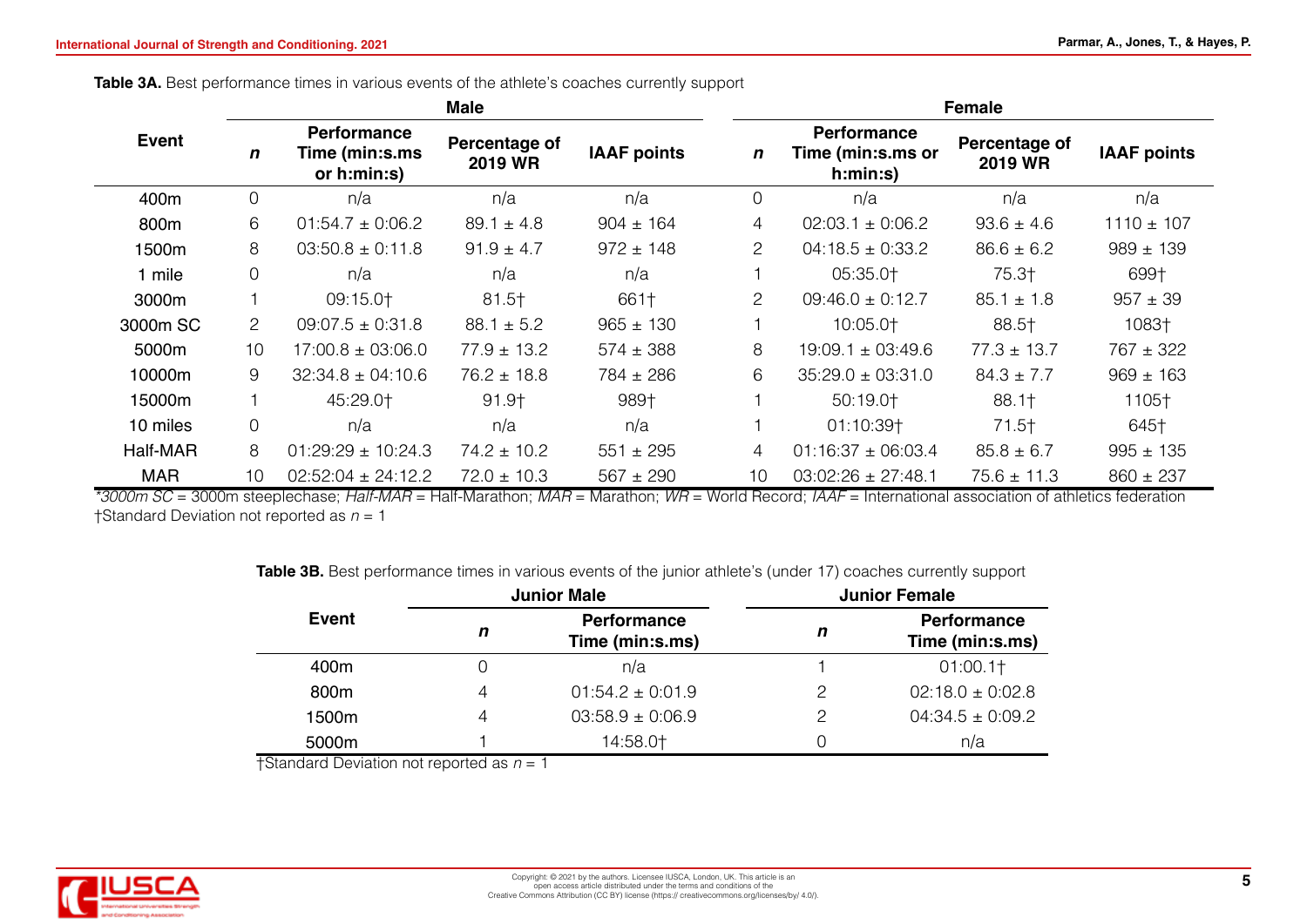Table 3A. Best performance times in various events of the athlete's coaches currently support

|              |                |                                                      | <b>Male</b>                     |                    | <b>Female</b>   |                                                     |                          |                    |  |  |
|--------------|----------------|------------------------------------------------------|---------------------------------|--------------------|-----------------|-----------------------------------------------------|--------------------------|--------------------|--|--|
| <b>Event</b> | $\mathbf n$    | <b>Performance</b><br>Time (min:s.ms)<br>or h:min:s) | Percentage of<br><b>2019 WR</b> | <b>IAAF points</b> | $\mathbf n$     | <b>Performance</b><br>Time (min:s.ms or<br>h:min:s) | Percentage of<br>2019 WR | <b>IAAF points</b> |  |  |
| 400m         | $\overline{0}$ | n/a                                                  | n/a                             | n/a                | $\overline{0}$  | n/a                                                 | n/a                      | n/a                |  |  |
| 800m         | 6              | $01:54.7 \pm 0:06.2$                                 | $89.1 \pm 4.8$                  | $904 \pm 164$      | 4               | $02:03.1 \pm 0:06.2$                                | $93.6 \pm 4.6$           | $1110 \pm 107$     |  |  |
| 1500m        | 8              | $03:50.8 \pm 0.11.8$                                 | $91.9 \pm 4.7$                  | $972 \pm 148$      | $\overline{2}$  | $04:18.5 \pm 0:33.2$                                | $86.6 \pm 6.2$           | $989 \pm 139$      |  |  |
| 1 mile       | $\mathbf 0$    | n/a                                                  | n/a                             | n/a                |                 | 05:35.0+                                            | 75.3†                    | 699†               |  |  |
| 3000m        |                | 09:15.0+                                             | $81.5 +$                        | 661†               | $\overline{c}$  | $09:46.0 \pm 0.12.7$                                | $85.1 \pm 1.8$           | $957 \pm 39$       |  |  |
| 3000m SC     | $\overline{2}$ | $09:07.5 \pm 0.31.8$                                 | $88.1 \pm 5.2$                  | $965 \pm 130$      |                 | 10:05.0+                                            | 88.5†                    | 1083†              |  |  |
| 5000m        | 10             | $17:00.8 \pm 03:06.0$                                | $77.9 \pm 13.2$                 | $574 \pm 388$      | 8               | $19:09.1 \pm 03:49.6$                               | $77.3 \pm 13.7$          | $767 \pm 322$      |  |  |
| 10000m       | 9              | $32:34.8 \pm 04:10.6$                                | $76.2 \pm 18.8$                 | $784 \pm 286$      | 6               | $35:29.0 \pm 03:31.0$                               | $84.3 \pm 7.7$           | $969 \pm 163$      |  |  |
| 15000m       |                | 45:29.0+                                             | 91.9†                           | 989+               |                 | 50:19.0+                                            | 88.1                     | 1105+              |  |  |
| 10 miles     | $\overline{0}$ | n/a                                                  | n/a                             | n/a                |                 | 01:10:39+                                           | $71.5+$                  | 645†               |  |  |
| Half-MAR     | 8              | $01:29:29 \pm 10:24.3$                               | $74.2 \pm 10.2$                 | $551 \pm 295$      | 4               | $01:16:37 \pm 06:03.4$                              | $85.8 \pm 6.7$           | $995 \pm 135$      |  |  |
| <b>MAR</b>   | 10             | $02:52:04 \pm 24:12.2$                               | $72.0 \pm 10.3$                 | $567 \pm 290$      | 10 <sup>1</sup> | $03:02:26 \pm 27:48.1$                              | $75.6 \pm 11.3$          | $860 \pm 237$      |  |  |

*\*3000m SC* = 3000m steeplechase; *Half-MAR* = Half-Marathon; *MAR* = Marathon; *WR* = World Record; *IAAF* = International association of athletics federation †Standard Deviation not reported as *n* = 1

**Table 3B.** Best performance times in various events of the junior athlete's (under 17) coaches currently support

|       |   | <b>Junior Male</b>                    | <b>Junior Female</b> |                                       |  |  |  |
|-------|---|---------------------------------------|----------------------|---------------------------------------|--|--|--|
| Event | n | <b>Performance</b><br>Time (min:s.ms) | n                    | <b>Performance</b><br>Time (min:s.ms) |  |  |  |
| 400m  |   | n/a                                   |                      | 01:00.1                               |  |  |  |
| 800m  |   | $01:54.2 \pm 0.01.9$                  | っ                    | $02:18.0 \pm 0.02.8$                  |  |  |  |
| 1500m |   | $03:58.9 \pm 0.06.9$                  | ာ                    | $04:34.5 \pm 0:09.2$                  |  |  |  |
| 5000m |   | 14:58.0+                              |                      | n/a                                   |  |  |  |

†Standard Deviation not reported as *n* = 1

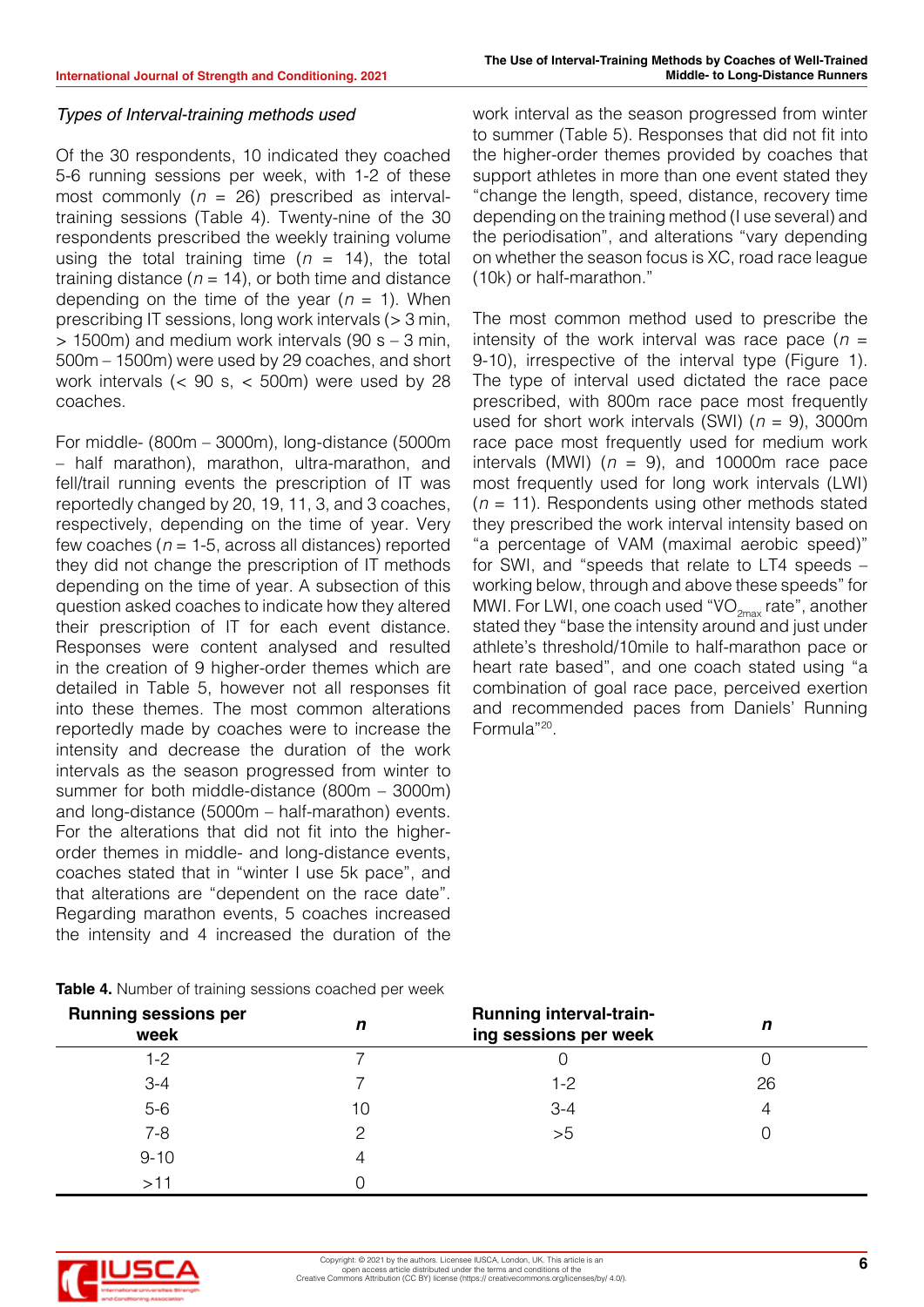work interval as the season progressed from winter

#### *Types of Interval-training methods used*

Of the 30 respondents, 10 indicated they coached 5-6 running sessions per week, with 1-2 of these most commonly (*n* = 26) prescribed as intervaltraining sessions (Table 4). Twenty-nine of the 30 respondents prescribed the weekly training volume using the total training time  $(n = 14)$ , the total training distance ( $n = 14$ ), or both time and distance depending on the time of the year  $(n = 1)$ . When prescribing IT sessions, long work intervals (> 3 min,  $> 1500$ m) and medium work intervals (90 s – 3 min, 500m – 1500m) were used by 29 coaches, and short work intervals (< 90 s, < 500m) were used by 28 coaches.

For middle- (800m – 3000m), long-distance (5000m – half marathon), marathon, ultra-marathon, and fell/trail running events the prescription of IT was reportedly changed by 20, 19, 11, 3, and 3 coaches, respectively, depending on the time of year. Very few coaches (*n* = 1-5, across all distances) reported they did not change the prescription of IT methods depending on the time of year. A subsection of this question asked coaches to indicate how they altered their prescription of IT for each event distance. Responses were content analysed and resulted in the creation of 9 higher-order themes which are detailed in Table 5, however not all responses fit into these themes. The most common alterations reportedly made by coaches were to increase the intensity and decrease the duration of the work intervals as the season progressed from winter to summer for both middle-distance (800m – 3000m) and long-distance (5000m – half-marathon) events. For the alterations that did not fit into the higherorder themes in middle- and long-distance events, coaches stated that in "winter I use 5k pace", and that alterations are "dependent on the race date". Regarding marathon events, 5 coaches increased the intensity and 4 increased the duration of the

to summer (Table 5). Responses that did not fit into the higher-order themes provided by coaches that support athletes in more than one event stated they "change the length, speed, distance, recovery time depending on the training method (I use several) and the periodisation", and alterations "vary depending on whether the season focus is XC, road race league (10k) or half-marathon."

The most common method used to prescribe the intensity of the work interval was race pace (*n* = 9-10), irrespective of the interval type (Figure 1). The type of interval used dictated the race pace prescribed, with 800m race pace most frequently used for short work intervals (SWI) (*n* = 9), 3000m race pace most frequently used for medium work intervals (MWI)  $(n = 9)$ , and 10000m race pace most frequently used for long work intervals (LWI) (*n* = 11). Respondents using other methods stated they prescribed the work interval intensity based on "a percentage of VAM (maximal aerobic speed)" for SWI, and "speeds that relate to LT4 speeds – working below, through and above these speeds" for MWI. For LWI, one coach used "VO<sub>2max</sub> rate", another stated they "base the intensity around and just under athlete's threshold/10mile to half-marathon pace or heart rate based", and one coach stated using "a combination of goal race pace, perceived exertion and recommended paces from Daniels' Running Formula"20.

| <b>Table 4.</b> Number of training sessions coached per week |  |
|--------------------------------------------------------------|--|
|--------------------------------------------------------------|--|

| <b>Running sessions per</b><br>week | n  | <b>Running interval-train-</b><br>ing sessions per week | п  |  |
|-------------------------------------|----|---------------------------------------------------------|----|--|
| 1-2                                 |    |                                                         |    |  |
| $3 - 4$                             |    | 1-2                                                     | 26 |  |
| $5-6$                               | 10 | $3 - 4$                                                 |    |  |
| $7 - 8$                             |    | >5                                                      |    |  |
| $9 - 10$                            |    |                                                         |    |  |
| $>1$ $\degree$                      |    |                                                         |    |  |

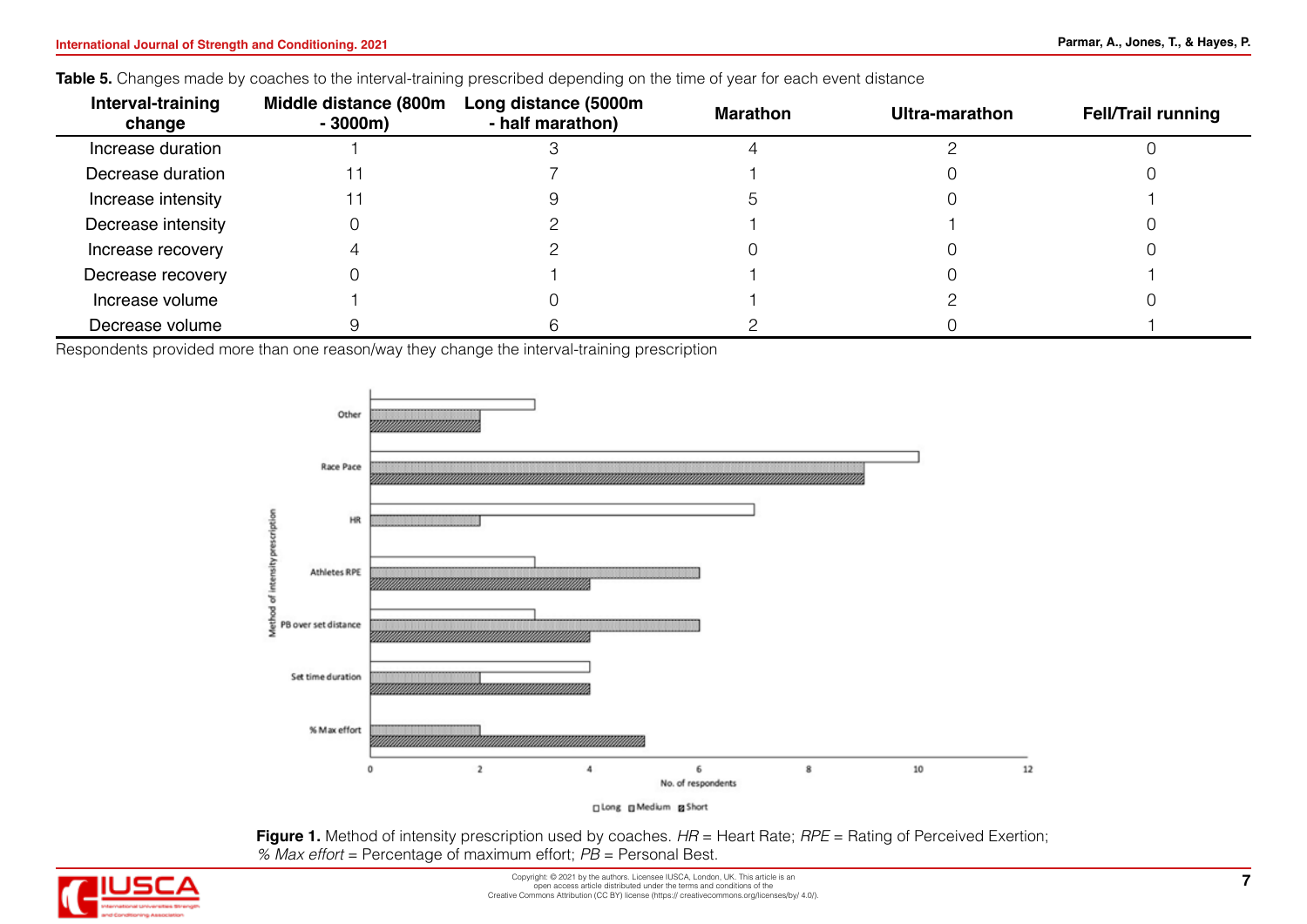#### Table 5. Changes made by coaches to the interval-training prescribed depending on the time of year for each event distance

| Interval-training<br>change | Middle distance (800m<br>$-3000m$ | Long distance (5000m<br>- half marathon) | Marathon | Ultra-marathon | <b>Fell/Trail running</b> |
|-----------------------------|-----------------------------------|------------------------------------------|----------|----------------|---------------------------|
| Increase duration           |                                   |                                          |          |                |                           |
| Decrease duration           |                                   |                                          |          |                |                           |
| Increase intensity          |                                   |                                          |          |                |                           |
| Decrease intensity          |                                   |                                          |          |                |                           |
| Increase recovery           |                                   |                                          |          |                |                           |
| Decrease recovery           |                                   |                                          |          |                |                           |
| Increase volume             |                                   |                                          |          |                |                           |
| Decrease volume             |                                   |                                          |          |                |                           |

Respondents provided more than one reason/way they change the interval-training prescription





**Figure 1.** Method of intensity prescription used by coaches. *HR* = Heart Rate; *RPE* = Rating of Perceived Exertion; *% Max effort* = Percentage of maximum effort; *PB* = Personal Best.

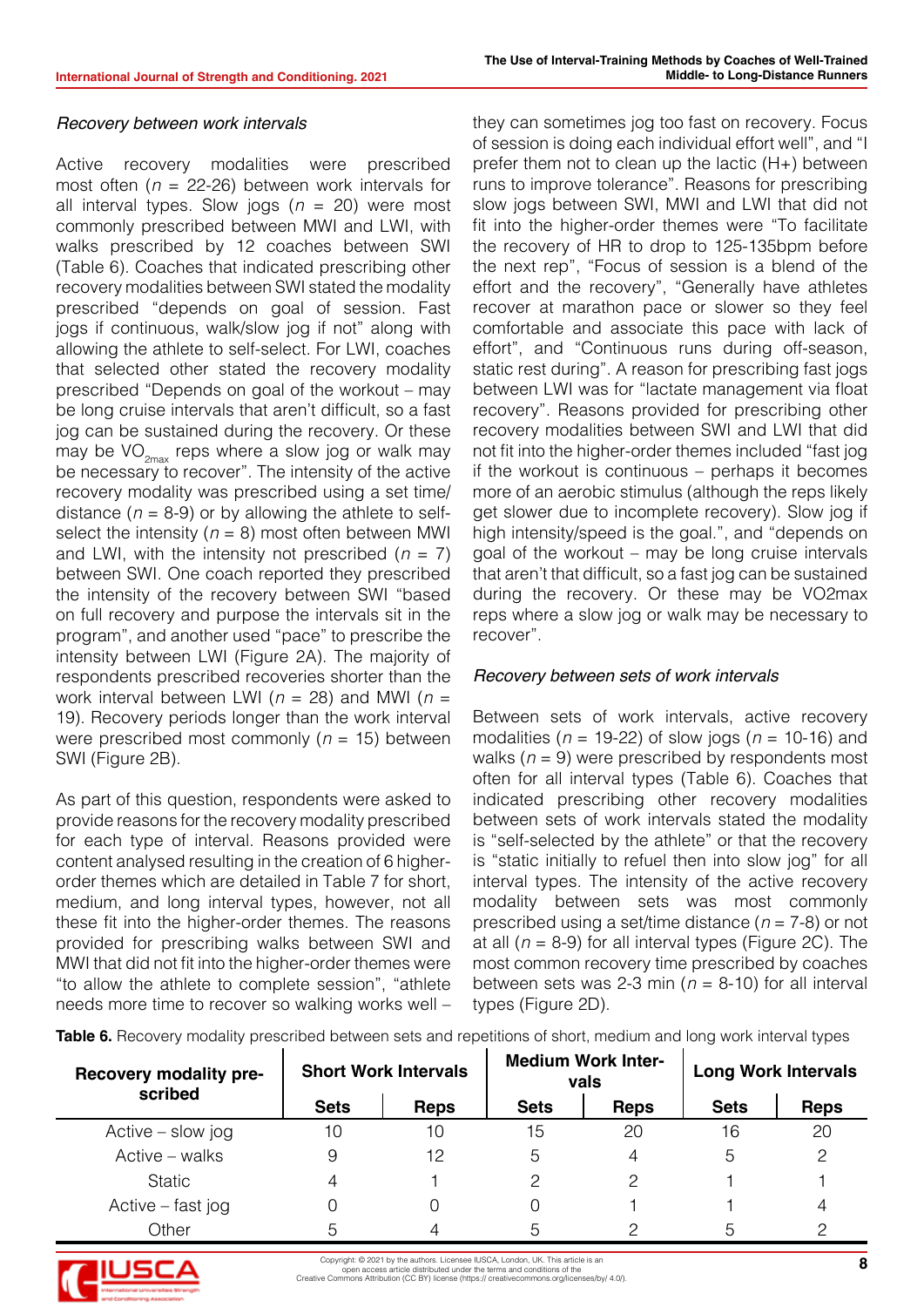# *Recovery between work intervals*

Active recovery modalities were prescribed most often (*n* = 22-26) between work intervals for all interval types. Slow jogs (*n* = 20) were most commonly prescribed between MWI and LWI, with walks prescribed by 12 coaches between SWI (Table 6). Coaches that indicated prescribing other recovery modalities between SWI stated the modality prescribed "depends on goal of session. Fast jogs if continuous, walk/slow jog if not" along with allowing the athlete to self-select. For LWI, coaches that selected other stated the recovery modality prescribed "Depends on goal of the workout – may be long cruise intervals that aren't difficult, so a fast jog can be sustained during the recovery. Or these may be  $VO_{2m}$  reps where a slow jog or walk may be necessary to recover". The intensity of the active recovery modality was prescribed using a set time/ distance  $(n = 8-9)$  or by allowing the athlete to selfselect the intensity  $(n = 8)$  most often between MWI and LWI, with the intensity not prescribed  $(n = 7)$ between SWI. One coach reported they prescribed the intensity of the recovery between SWI "based on full recovery and purpose the intervals sit in the program", and another used "pace" to prescribe the intensity between LWI (Figure 2A). The majority of respondents prescribed recoveries shorter than the work interval between LWI (*n* = 28) and MWI (*n* = 19). Recovery periods longer than the work interval were prescribed most commonly (*n* = 15) between SWI (Figure 2B).

As part of this question, respondents were asked to provide reasons for the recovery modality prescribed for each type of interval. Reasons provided were content analysed resulting in the creation of 6 higherorder themes which are detailed in Table 7 for short, medium, and long interval types, however, not all these fit into the higher-order themes. The reasons provided for prescribing walks between SWI and MWI that did not fit into the higher-order themes were "to allow the athlete to complete session", "athlete needs more time to recover so walking works well – they can sometimes jog too fast on recovery. Focus of session is doing each individual effort well", and "I prefer them not to clean up the lactic (H+) between runs to improve tolerance". Reasons for prescribing slow jogs between SWI, MWI and LWI that did not fit into the higher-order themes were "To facilitate the recovery of HR to drop to 125-135bpm before the next rep", "Focus of session is a blend of the effort and the recovery", "Generally have athletes recover at marathon pace or slower so they feel comfortable and associate this pace with lack of effort", and "Continuous runs during off-season, static rest during". A reason for prescribing fast jogs between LWI was for "lactate management via float recovery". Reasons provided for prescribing other recovery modalities between SWI and LWI that did not fit into the higher-order themes included "fast jog if the workout is continuous – perhaps it becomes more of an aerobic stimulus (although the reps likely get slower due to incomplete recovery). Slow jog if high intensity/speed is the goal.", and "depends on goal of the workout – may be long cruise intervals that aren't that difficult, so a fast jog can be sustained during the recovery. Or these may be VO2max reps where a slow jog or walk may be necessary to recover".

# *Recovery between sets of work intervals*

Between sets of work intervals, active recovery modalities (*n* = 19-22) of slow jogs (*n* = 10-16) and walks  $(n = 9)$  were prescribed by respondents most often for all interval types (Table 6). Coaches that indicated prescribing other recovery modalities between sets of work intervals stated the modality is "self-selected by the athlete" or that the recovery is "static initially to refuel then into slow jog" for all interval types. The intensity of the active recovery modality between sets was most commonly prescribed using a set/time distance (*n* = 7-8) or not at all  $(n = 8-9)$  for all interval types (Figure 2C). The most common recovery time prescribed by coaches between sets was 2-3 min ( $n = 8$ -10) for all interval types (Figure 2D).

**Table 6.** Recovery modality prescribed between sets and repetitions of short, medium and long work interval types

| <b>Recovery modality pre-</b><br>scribed |             | <b>Short Work Intervals</b> |             | <b>Medium Work Inter-</b><br>vals | <b>Long Work Intervals</b> |             |  |
|------------------------------------------|-------------|-----------------------------|-------------|-----------------------------------|----------------------------|-------------|--|
|                                          | <b>Sets</b> | <b>Reps</b>                 | <b>Sets</b> | <b>Reps</b>                       | <b>Sets</b>                | <b>Reps</b> |  |
| Active $-$ slow jog                      | 10          | 10                          | 15          | 20                                | 16                         | 20          |  |
| Active – walks                           |             | 12                          | 5           |                                   | 5                          |             |  |
| <b>Static</b>                            |             |                             | っ           |                                   |                            |             |  |
| Active – fast jog                        |             |                             |             |                                   |                            |             |  |
| Other                                    |             |                             | 5           |                                   | 5                          |             |  |

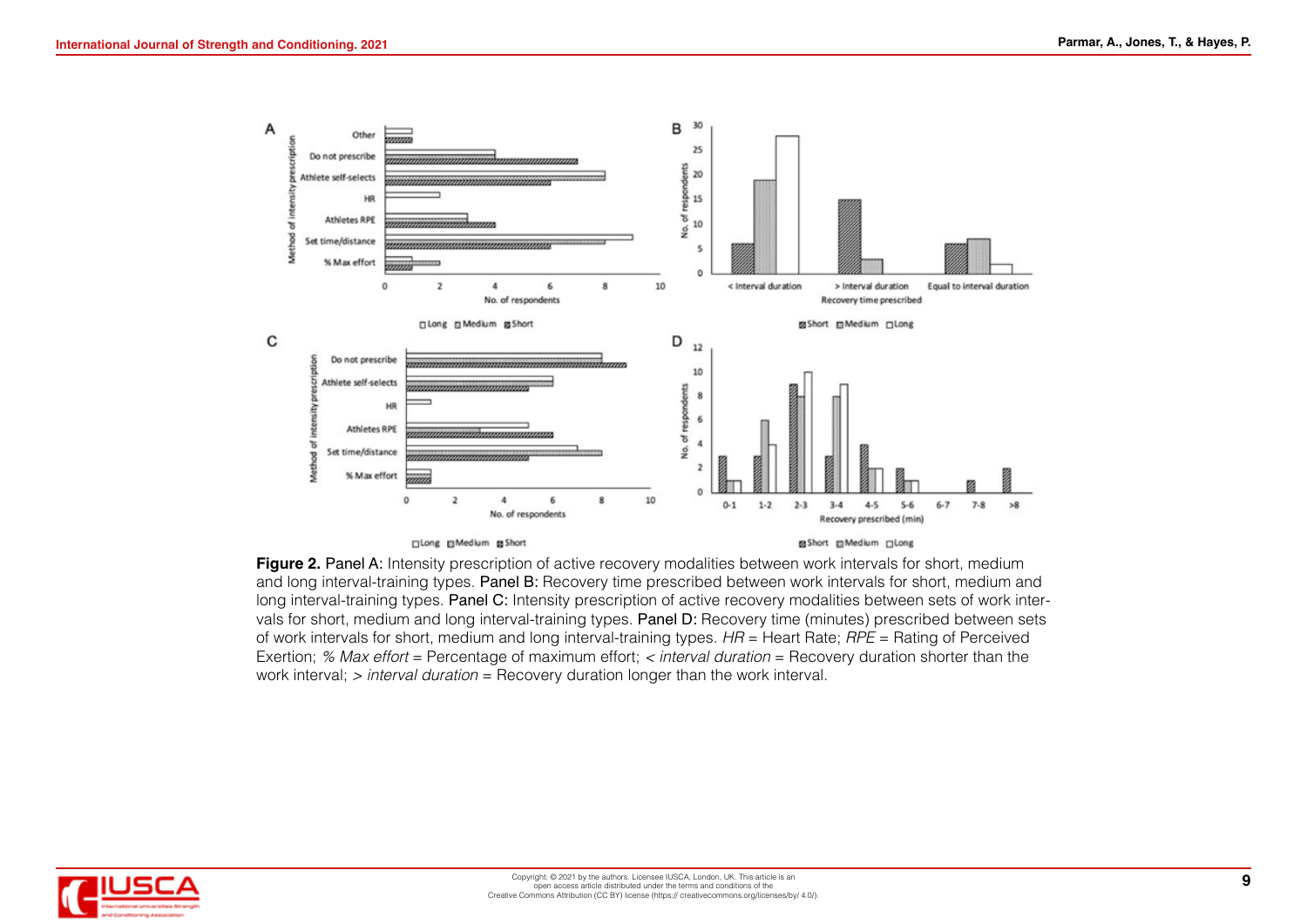

**Figure 2. Panel A:** Intensity prescription of active recovery modalities between work intervals for short, medium and long interval-training types. Panel B: Recovery time prescribed between work intervals for short, medium and long interval-training types. Panel C: Intensity prescription of active recovery modalities between sets of work intervals for short, medium and long interval-training types. Panel D: Recovery time (minutes) prescribed between sets of work intervals for short, medium and long interval-training types. *HR* = Heart Rate; *RPE* = Rating of Perceived Exertion; *% Max effort* = Percentage of maximum effort; *< interval duration* = Recovery duration shorter than the work interval; *> interval duration* = Recovery duration longer than the work interval.

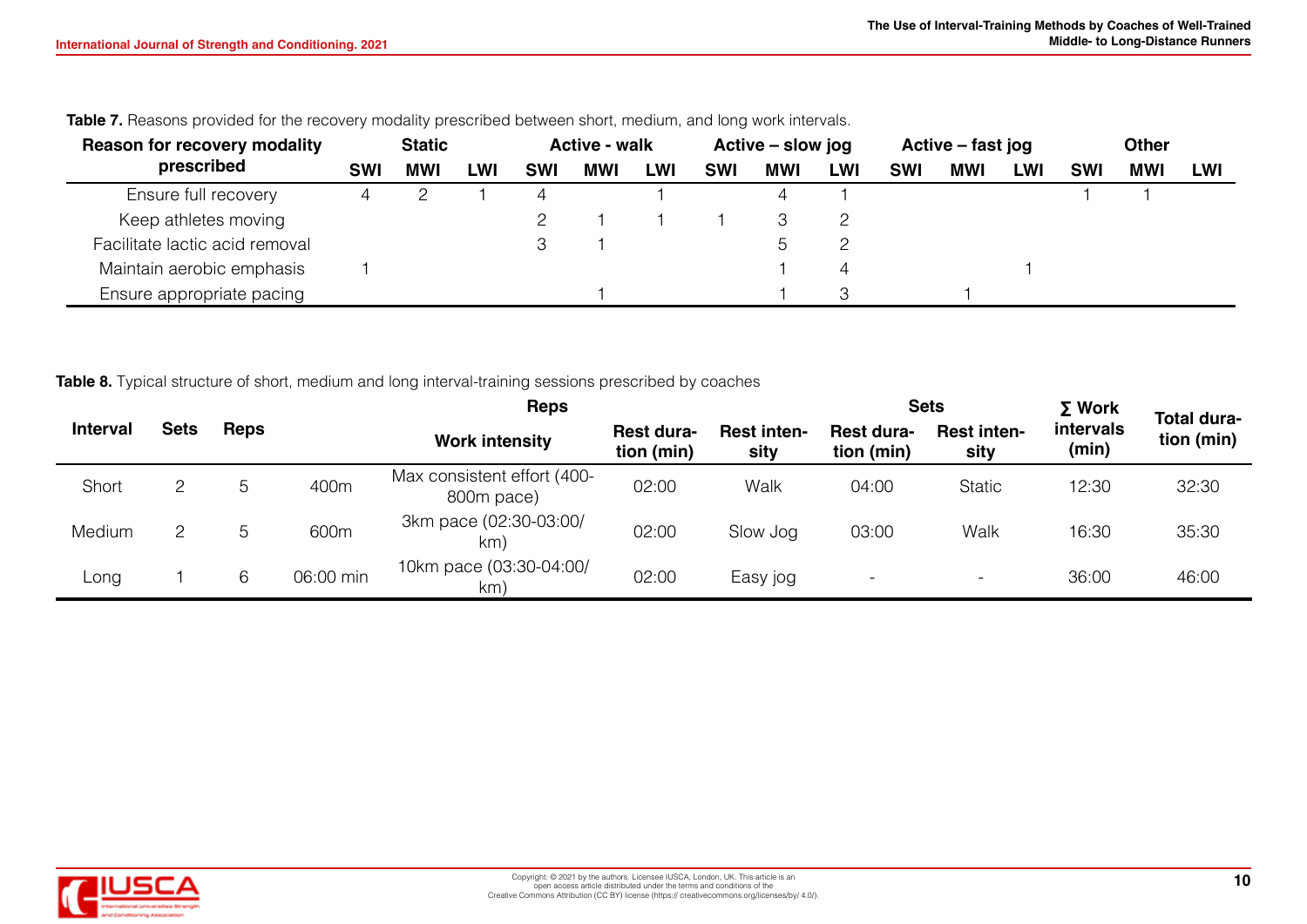| <b>Reason for recovery modality</b> | <b>Static</b> |            | <b>Active - walk</b> |            | Active – slow jog |     | Active – fast jog |            | <b>Other</b> |            |            |            |            |     |     |
|-------------------------------------|---------------|------------|----------------------|------------|-------------------|-----|-------------------|------------|--------------|------------|------------|------------|------------|-----|-----|
| prescribed                          | <b>SWI</b>    | <b>MWI</b> | LWI                  | <b>SWI</b> | MWI               | LWI | <b>SWI</b>        | <b>MWI</b> | <b>LWI</b>   | <b>SWI</b> | <b>MWI</b> | <b>LWI</b> | <b>SWI</b> | MWI | LWI |
| Ensure full recovery                |               |            |                      |            |                   |     |                   |            |              |            |            |            |            |     |     |
| Keep athletes moving                |               |            |                      |            |                   |     |                   |            |              |            |            |            |            |     |     |
| Facilitate lactic acid removal      |               |            |                      |            |                   |     |                   |            |              |            |            |            |            |     |     |
| Maintain aerobic emphasis           |               |            |                      |            |                   |     |                   |            | 4            |            |            |            |            |     |     |
| Ensure appropriate pacing           |               |            |                      |            |                   |     |                   |            |              |            |            |            |            |     |     |

Table 7. Reasons provided for the recovery modality prescribed between short, medium, and long work intervals.

**Table 8.** Typical structure of short, medium and long interval-training sessions prescribed by coaches

|                 |             |               |           | <b>Reps</b>                               |                                 | <b>Sets</b>                | $\Sigma$ Work                   | Total dura-                |                    |            |
|-----------------|-------------|---------------|-----------|-------------------------------------------|---------------------------------|----------------------------|---------------------------------|----------------------------|--------------------|------------|
| <b>Interval</b> | <b>Sets</b> | <b>Reps</b>   |           | <b>Work intensity</b>                     | <b>Rest dura-</b><br>tion (min) | <b>Rest inten-</b><br>sity | <b>Rest dura-</b><br>tion (min) | <b>Rest inten-</b><br>sity | intervals<br>(min) | tion (min) |
| Short           |             | 5             | 400m      | Max consistent effort (400-<br>800m pace) | 02:00                           | Walk                       | 04:00                           | <b>Static</b>              | 12:30              | 32:30      |
| Medium          |             | $\mathcal{D}$ | 600m      | 3km pace (02:30-03:00/<br>km <sup>'</sup> | 02:00                           | Slow Jog                   | 03:00                           | Walk                       | 16:30              | 35:30      |
| Long            |             | 6             | 06:00 min | 10km pace (03:30-04:00/<br>km'            | 02:00                           | Easy jog                   | $\overline{\phantom{0}}$        |                            | 36:00              | 46:00      |

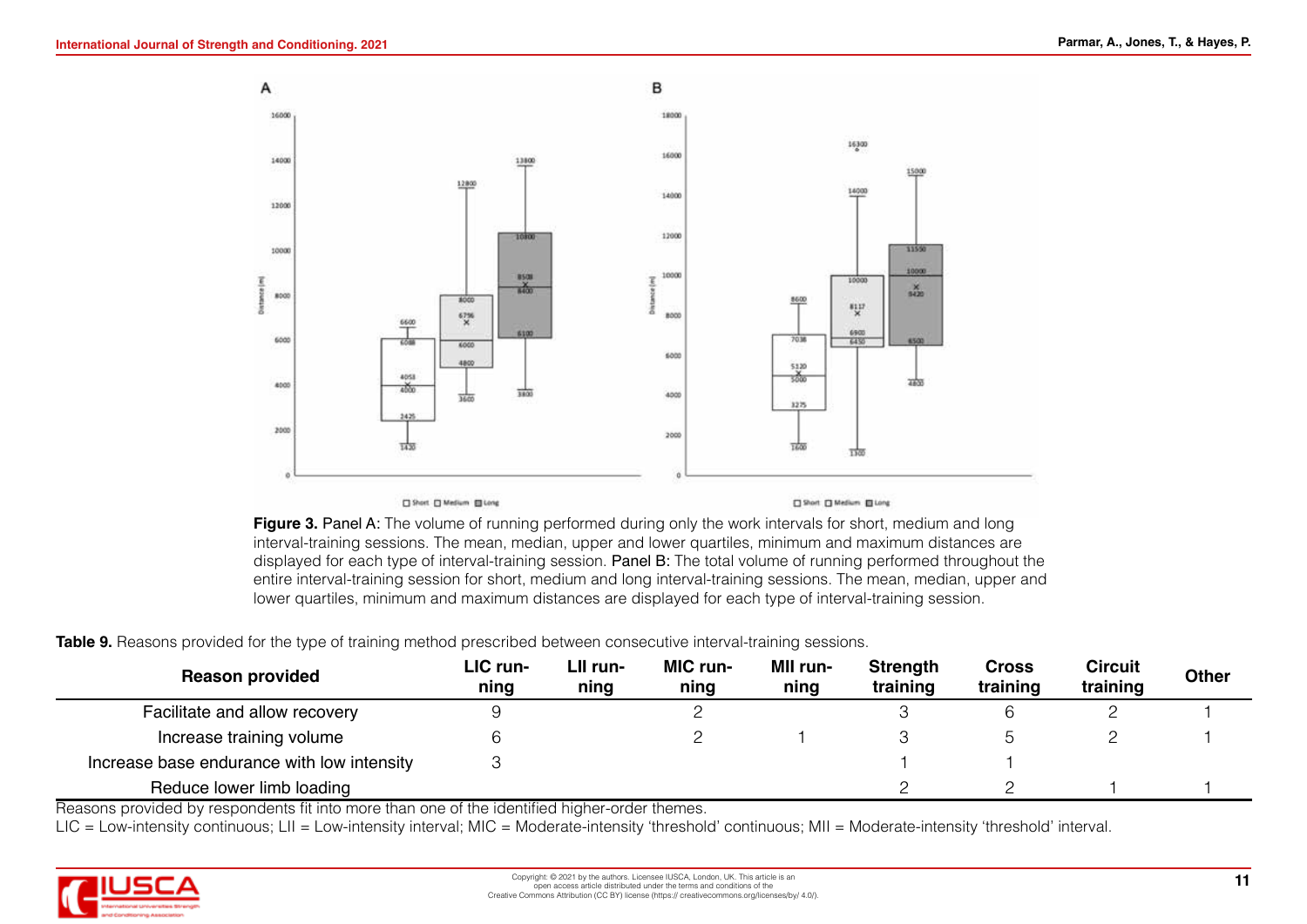

**Figure 3. Panel A:** The volume of running performed during only the work intervals for short, medium and long interval-training sessions. The mean, median, upper and lower quartiles, minimum and maximum distances are displayed for each type of interval-training session. Panel B: The total volume of running performed throughout the entire interval-training session for short, medium and long interval-training sessions. The mean, median, upper and lower quartiles, minimum and maximum distances are displayed for each type of interval-training session.

**Table 9.** Reasons provided for the type of training method prescribed between consecutive interval-training sessions.

| <b>Reason provided</b>                     | LIC run-<br>ning | LII run-<br>ning | <b>MIC</b> run-<br>ning | <b>MII run-</b><br>ning | <b>Strength</b><br>training | <b>Cross</b><br>training | <b>Circuit</b><br>training | <b>Other</b> |
|--------------------------------------------|------------------|------------------|-------------------------|-------------------------|-----------------------------|--------------------------|----------------------------|--------------|
| Facilitate and allow recovery              |                  |                  |                         |                         |                             |                          |                            |              |
| Increase training volume                   |                  |                  |                         |                         |                             |                          |                            |              |
| Increase base endurance with low intensity |                  |                  |                         |                         |                             |                          |                            |              |
| Reduce lower limb loading                  |                  |                  |                         |                         |                             |                          |                            |              |

Reasons provided by respondents fit into more than one of the identified higher-order themes.

LIC = Low-intensity continuous; LII = Low-intensity interval; MIC = Moderate-intensity 'threshold' continuous; MII = Moderate-intensity 'threshold' interval.

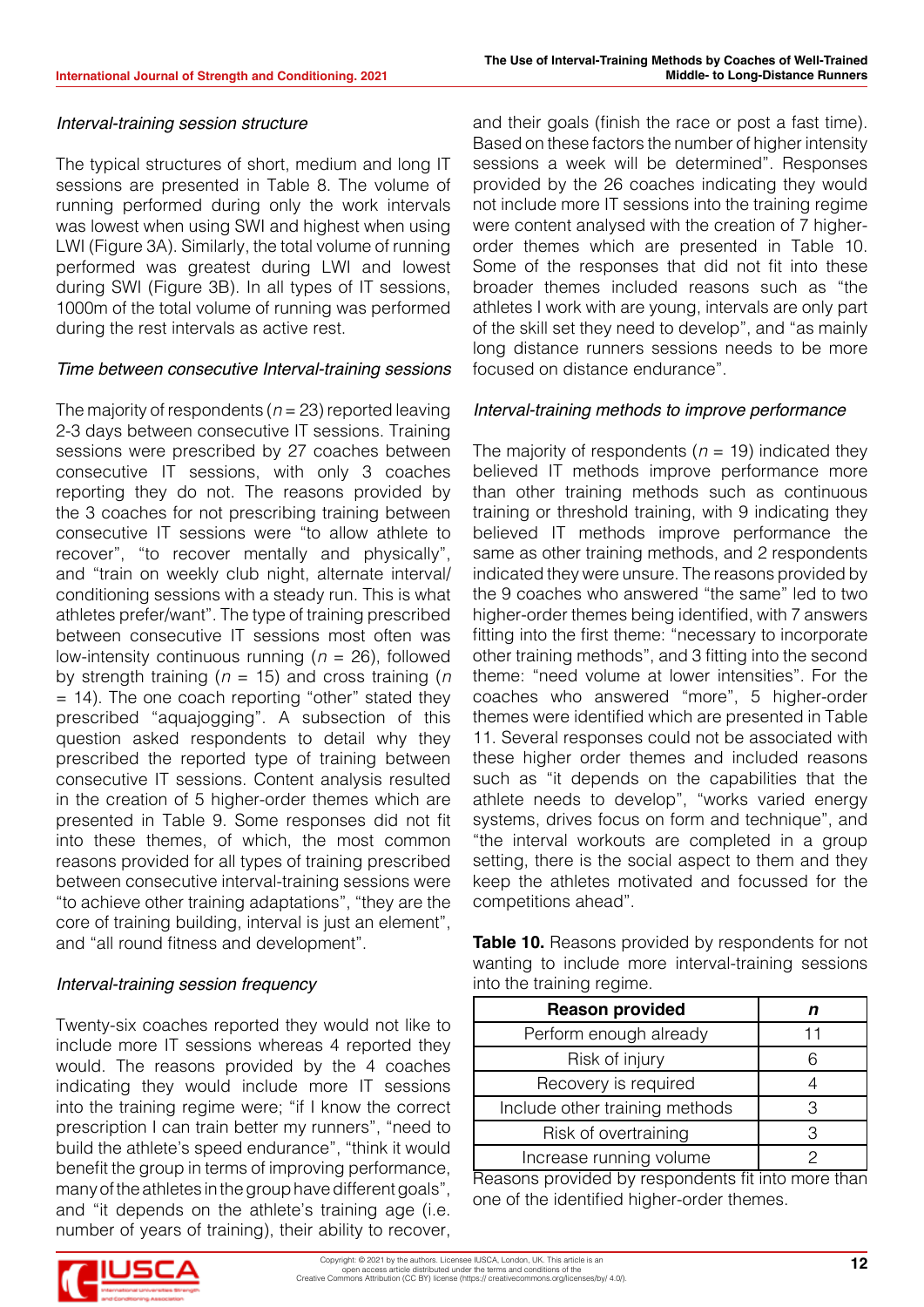#### *Interval-training session structure*

The typical structures of short, medium and long IT sessions are presented in Table 8. The volume of running performed during only the work intervals was lowest when using SWI and highest when using LWI (Figure 3A). Similarly, the total volume of running performed was greatest during LWI and lowest during SWI (Figure 3B). In all types of IT sessions, 1000m of the total volume of running was performed during the rest intervals as active rest.

#### *Time between consecutive Interval-training sessions*

The majority of respondents (*n* = 23) reported leaving 2-3 days between consecutive IT sessions. Training sessions were prescribed by 27 coaches between consecutive IT sessions, with only 3 coaches reporting they do not. The reasons provided by the 3 coaches for not prescribing training between consecutive IT sessions were "to allow athlete to recover", "to recover mentally and physically", and "train on weekly club night, alternate interval/ conditioning sessions with a steady run. This is what athletes prefer/want". The type of training prescribed between consecutive IT sessions most often was low-intensity continuous running (*n* = 26), followed by strength training (*n* = 15) and cross training (*n*  = 14). The one coach reporting "other" stated they prescribed "aquajogging". A subsection of this question asked respondents to detail why they prescribed the reported type of training between consecutive IT sessions. Content analysis resulted in the creation of 5 higher-order themes which are presented in Table 9. Some responses did not fit into these themes, of which, the most common reasons provided for all types of training prescribed between consecutive interval-training sessions were "to achieve other training adaptations", "they are the core of training building, interval is just an element", and "all round fitness and development".

#### *Interval-training session frequency*

Twenty-six coaches reported they would not like to include more IT sessions whereas 4 reported they would. The reasons provided by the 4 coaches indicating they would include more IT sessions into the training regime were; "if I know the correct prescription I can train better my runners", "need to build the athlete's speed endurance", "think it would benefit the group in terms of improving performance, many of the athletes in the group have different goals", and "it depends on the athlete's training age (i.e. number of years of training), their ability to recover,

and their goals (finish the race or post a fast time). Based on these factors the number of higher intensity sessions a week will be determined". Responses provided by the 26 coaches indicating they would not include more IT sessions into the training regime were content analysed with the creation of 7 higherorder themes which are presented in Table 10. Some of the responses that did not fit into these broader themes included reasons such as "the athletes I work with are young, intervals are only part of the skill set they need to develop", and "as mainly long distance runners sessions needs to be more focused on distance endurance".

#### *Interval-training methods to improve performance*

The majority of respondents ( $n = 19$ ) indicated they believed IT methods improve performance more than other training methods such as continuous training or threshold training, with 9 indicating they believed IT methods improve performance the same as other training methods, and 2 respondents indicated they were unsure. The reasons provided by the 9 coaches who answered "the same" led to two higher-order themes being identified, with 7 answers fitting into the first theme: "necessary to incorporate other training methods", and 3 fitting into the second theme: "need volume at lower intensities". For the coaches who answered "more", 5 higher-order themes were identified which are presented in Table 11. Several responses could not be associated with these higher order themes and included reasons such as "it depends on the capabilities that the athlete needs to develop", "works varied energy systems, drives focus on form and technique", and "the interval workouts are completed in a group setting, there is the social aspect to them and they keep the athletes motivated and focussed for the competitions ahead".

**Table 10.** Reasons provided by respondents for not wanting to include more interval-training sessions into the training regime.

| <b>Reason provided</b>         |  |
|--------------------------------|--|
| Perform enough already         |  |
| Risk of injury                 |  |
| Recovery is required           |  |
| Include other training methods |  |
| Risk of overtraining           |  |
| Increase running volume        |  |

Reasons provided by respondents fit into more than one of the identified higher-order themes.

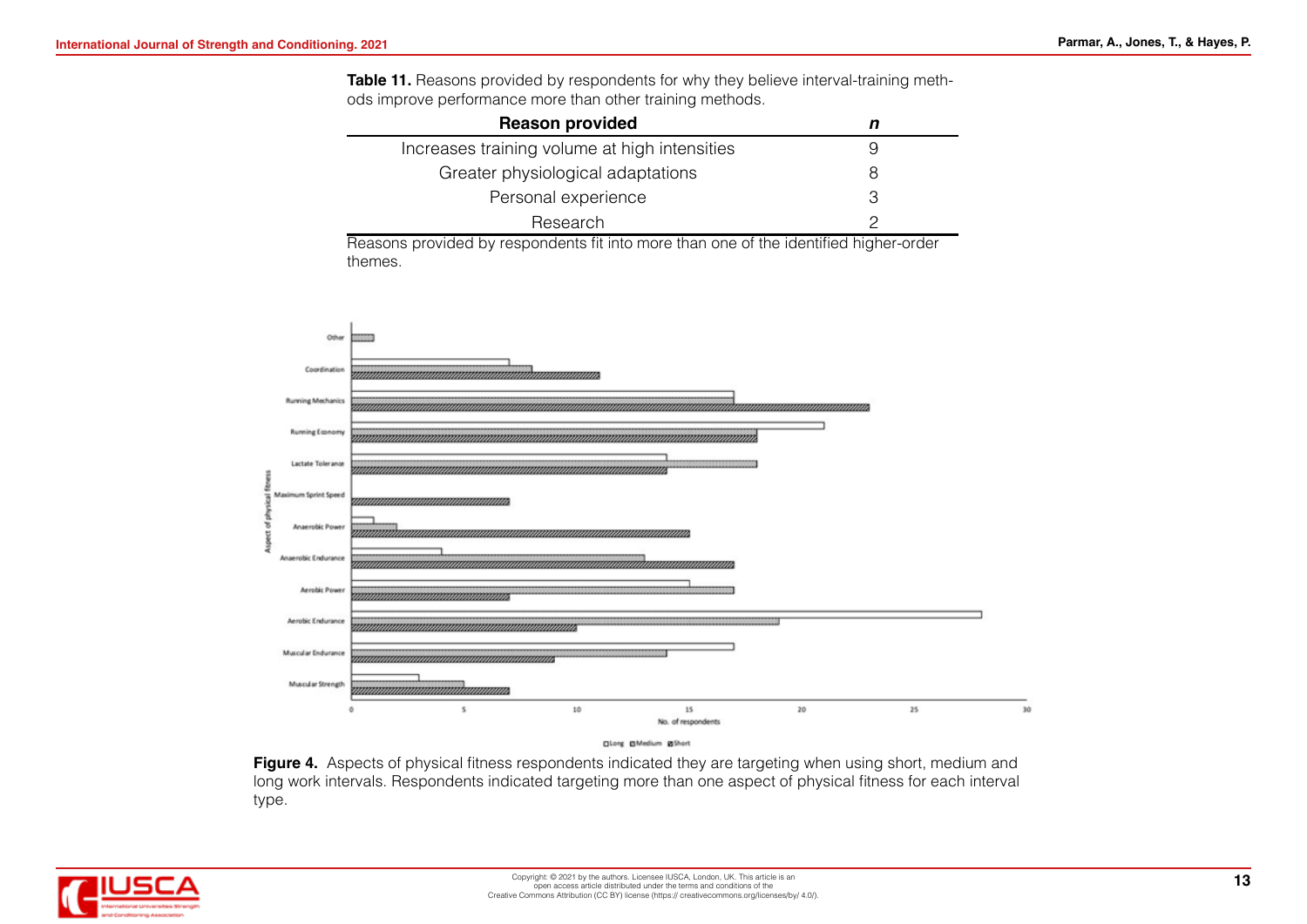**Table 11.** Reasons provided by respondents for why they believe interval-training methods improve performance more than other training methods.

| <b>Reason provided</b>                        |   |
|-----------------------------------------------|---|
| Increases training volume at high intensities |   |
| Greater physiological adaptations             |   |
| Personal experience                           | З |
| Research                                      |   |

Reasons provided by respondents fit into more than one of the identified higher-order themes.



**Figure 4.** Aspects of physical fitness respondents indicated they are targeting when using short, medium and long work intervals. Respondents indicated targeting more than one aspect of physical fitness for each interval type.

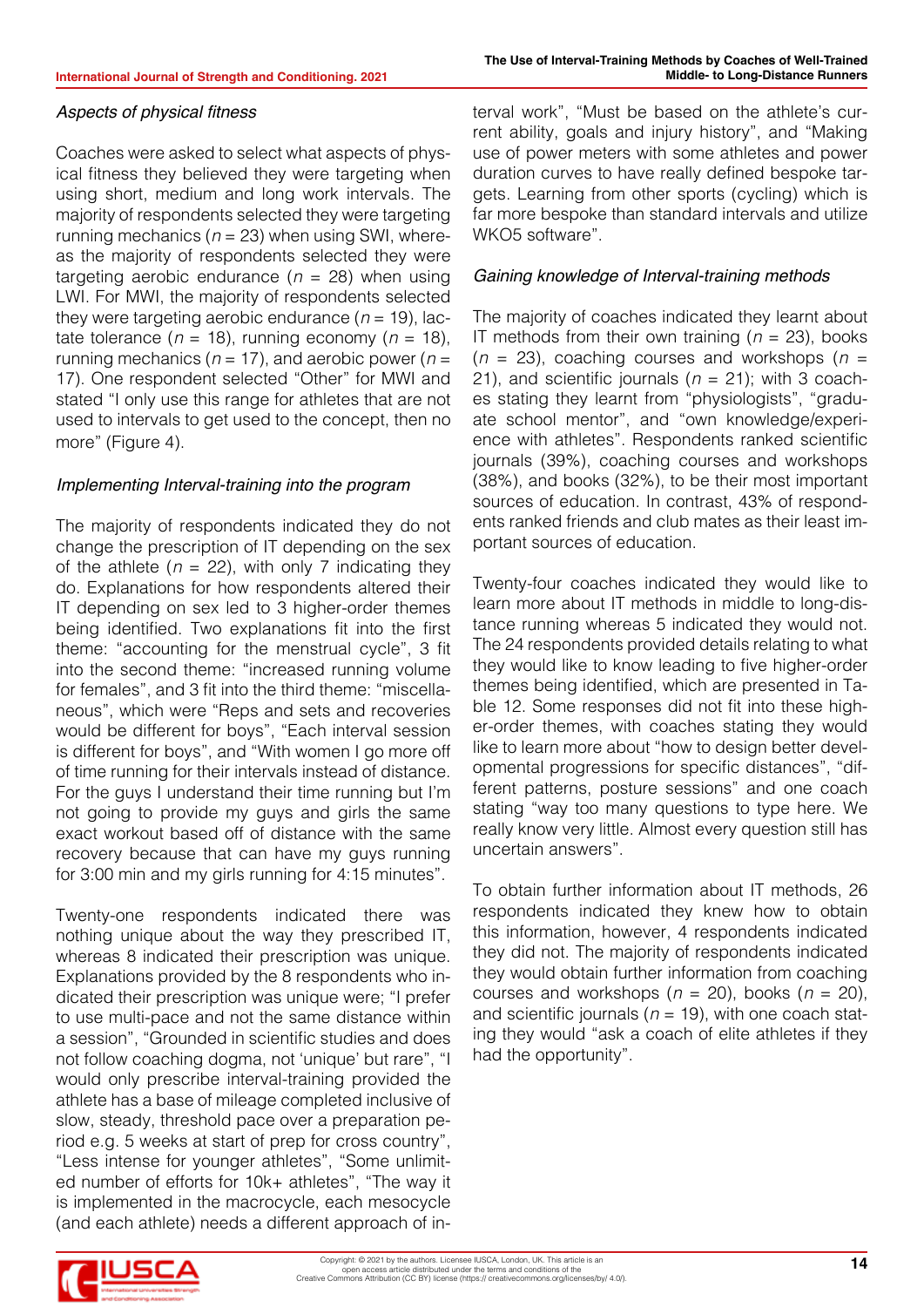# Aspects of physical fitness

Coaches were asked to select what aspects of physical fitness they believed they were targeting when using short, medium and long work intervals. The majority of respondents selected they were targeting running mechanics ( $n = 23$ ) when using SWI, whereas the majority of respondents selected they were targeting aerobic endurance  $(n = 28)$  when using LWI. For MWI, the majority of respondents selected they were targeting aerobic endurance  $(n = 19)$ , lactate tolerance ( $n = 18$ ), running economy ( $n = 18$ ), running mechanics ( $n = 17$ ), and aerobic power ( $n =$ 17). One respondent selected "Other" for MWI and stated "I only use this range for athletes that are not used to intervals to get used to the concept, then no more" (Figure 4).

# *Implementing Interval-training into the program*

The majority of respondents indicated they do not change the prescription of IT depending on the sex of the athlete ( $n = 22$ ), with only 7 indicating they do. Explanations for how respondents altered their IT depending on sex led to 3 higher-order themes being identified. Two explanations fit into the first theme: "accounting for the menstrual cycle", 3 fit into the second theme: "increased running volume for females", and 3 fit into the third theme: "miscellaneous", which were "Reps and sets and recoveries would be different for boys", "Each interval session is different for boys", and "With women I go more off of time running for their intervals instead of distance. For the guys I understand their time running but I'm not going to provide my guys and girls the same exact workout based off of distance with the same recovery because that can have my guys running for 3:00 min and my girls running for 4:15 minutes".

Twenty-one respondents indicated there was nothing unique about the way they prescribed IT, whereas 8 indicated their prescription was unique. Explanations provided by the 8 respondents who indicated their prescription was unique were; "I prefer to use multi-pace and not the same distance within a session", "Grounded in scientific studies and does not follow coaching dogma, not 'unique' but rare", "I would only prescribe interval-training provided the athlete has a base of mileage completed inclusive of slow, steady, threshold pace over a preparation period e.g. 5 weeks at start of prep for cross country", "Less intense for younger athletes", "Some unlimited number of efforts for 10k+ athletes", "The way it is implemented in the macrocycle, each mesocycle (and each athlete) needs a different approach of interval work", "Must be based on the athlete's current ability, goals and injury history", and "Making use of power meters with some athletes and power duration curves to have really defined bespoke targets. Learning from other sports (cycling) which is far more bespoke than standard intervals and utilize WKO5 software".

# *Gaining knowledge of Interval-training methods*

The majority of coaches indicated they learnt about IT methods from their own training (*n* = 23), books (*n* = 23), coaching courses and workshops (*n* = 21), and scientific journals (*n* = 21); with 3 coaches stating they learnt from "physiologists", "graduate school mentor", and "own knowledge/experience with athletes". Respondents ranked scientific journals (39%), coaching courses and workshops (38%), and books (32%), to be their most important sources of education. In contrast, 43% of respondents ranked friends and club mates as their least important sources of education.

Twenty-four coaches indicated they would like to learn more about IT methods in middle to long-distance running whereas 5 indicated they would not. The 24 respondents provided details relating to what they would like to know leading to five higher-order themes being identified, which are presented in Table 12. Some responses did not fit into these higher-order themes, with coaches stating they would like to learn more about "how to design better developmental progressions for specific distances", "different patterns, posture sessions" and one coach stating "way too many questions to type here. We really know very little. Almost every question still has uncertain answers".

To obtain further information about IT methods, 26 respondents indicated they knew how to obtain this information, however, 4 respondents indicated they did not. The majority of respondents indicated they would obtain further information from coaching courses and workshops  $(n = 20)$ , books  $(n = 20)$ , and scientific journals (*n* = 19), with one coach stating they would "ask a coach of elite athletes if they had the opportunity".

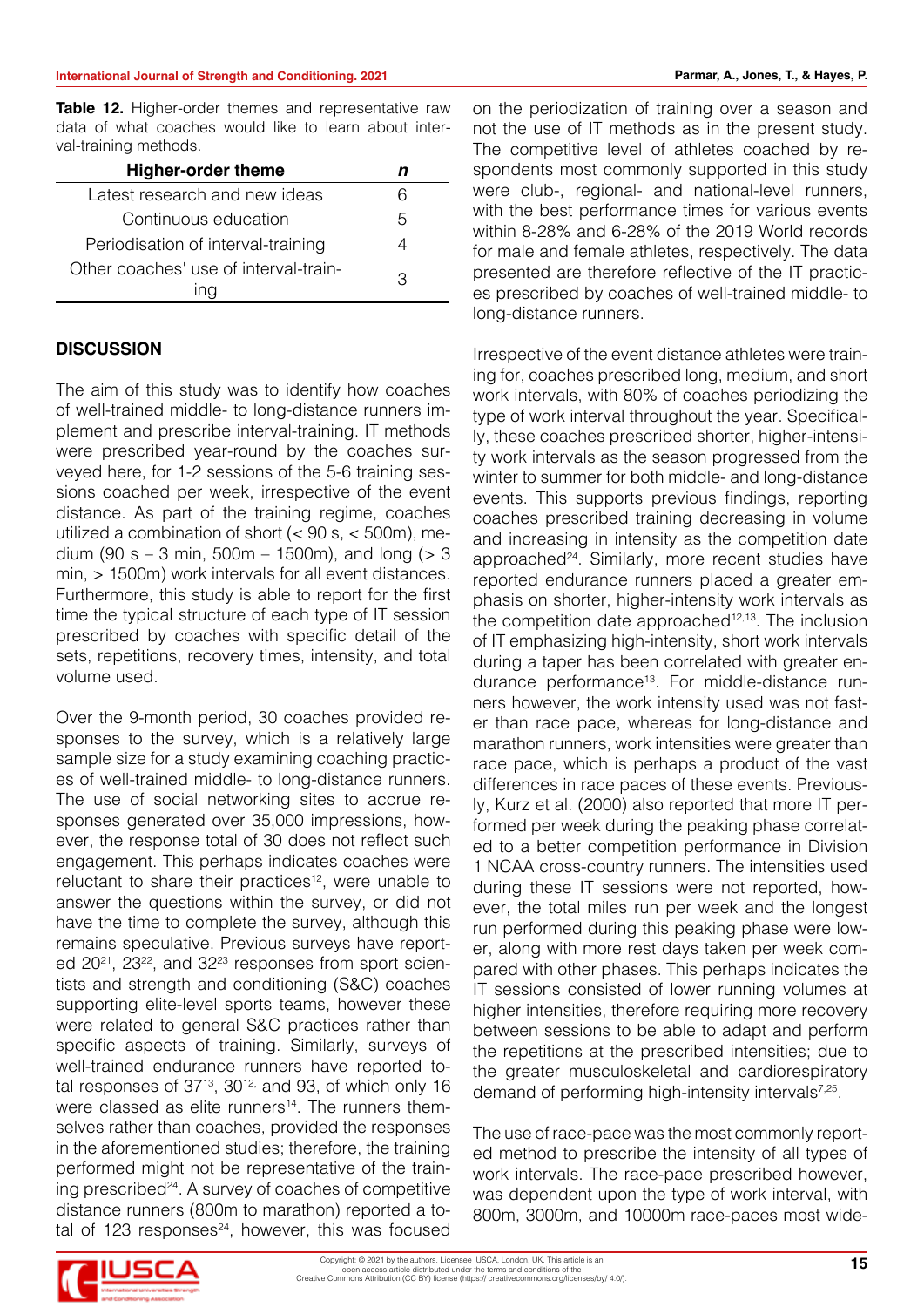**Table 12.** Higher-order themes and representative raw data of what coaches would like to learn about interval-training methods.

| <b>Higher-order theme</b>             |               |
|---------------------------------------|---------------|
| Latest research and new ideas         |               |
| Continuous education                  | $\mathcal{L}$ |
| Periodisation of interval-training    |               |
| Other coaches' use of interval-train- | っ             |

#### **DISCUSSION**

The aim of this study was to identify how coaches of well-trained middle- to long-distance runners implement and prescribe interval-training. IT methods were prescribed year-round by the coaches surveyed here, for 1-2 sessions of the 5-6 training sessions coached per week, irrespective of the event distance. As part of the training regime, coaches utilized a combination of short  $(< 90 \text{ s}, < 500 \text{ m}$ ), medium (90 s – 3 min,  $500m - 1500m$ ), and long ( $> 3$ min, > 1500m) work intervals for all event distances. Furthermore, this study is able to report for the first time the typical structure of each type of IT session prescribed by coaches with specific detail of the sets, repetitions, recovery times, intensity, and total volume used.

Over the 9-month period, 30 coaches provided responses to the survey, which is a relatively large sample size for a study examining coaching practices of well-trained middle- to long-distance runners. The use of social networking sites to accrue responses generated over 35,000 impressions, however, the response total of 30 does not reflect such engagement. This perhaps indicates coaches were reluctant to share their practices<sup>12</sup>, were unable to answer the questions within the survey, or did not have the time to complete the survey, although this remains speculative. Previous surveys have reported 2021, 2322, and 3223 responses from sport scientists and strength and conditioning (S&C) coaches supporting elite-level sports teams, however these were related to general S&C practices rather than specific aspects of training. Similarly, surveys of well-trained endurance runners have reported total responses of  $37^{13}$ ,  $30^{12}$ , and 93, of which only 16 were classed as elite runners<sup>14</sup>. The runners themselves rather than coaches, provided the responses in the aforementioned studies; therefore, the training performed might not be representative of the training prescribed $24$ . A survey of coaches of competitive distance runners (800m to marathon) reported a total of 123 responses $24$ , however, this was focused

on the periodization of training over a season and not the use of IT methods as in the present study. The competitive level of athletes coached by respondents most commonly supported in this study were club-, regional- and national-level runners, with the best performance times for various events within 8-28% and 6-28% of the 2019 World records for male and female athletes, respectively. The data presented are therefore reflective of the IT practices prescribed by coaches of well-trained middle- to long-distance runners.

Irrespective of the event distance athletes were training for, coaches prescribed long, medium, and short work intervals, with 80% of coaches periodizing the type of work interval throughout the year. Specifically, these coaches prescribed shorter, higher-intensity work intervals as the season progressed from the winter to summer for both middle- and long-distance events. This supports previous findings, reporting coaches prescribed training decreasing in volume and increasing in intensity as the competition date approached<sup>24</sup>. Similarly, more recent studies have reported endurance runners placed a greater emphasis on shorter, higher-intensity work intervals as the competition date approached<sup>12,13</sup>. The inclusion of IT emphasizing high-intensity, short work intervals during a taper has been correlated with greater endurance performance<sup>13</sup>. For middle-distance runners however, the work intensity used was not faster than race pace, whereas for long-distance and marathon runners, work intensities were greater than race pace, which is perhaps a product of the vast differences in race paces of these events. Previously, Kurz et al. (2000) also reported that more IT performed per week during the peaking phase correlated to a better competition performance in Division 1 NCAA cross-country runners. The intensities used during these IT sessions were not reported, however, the total miles run per week and the longest run performed during this peaking phase were lower, along with more rest days taken per week compared with other phases. This perhaps indicates the IT sessions consisted of lower running volumes at higher intensities, therefore requiring more recovery between sessions to be able to adapt and perform the repetitions at the prescribed intensities; due to the greater musculoskeletal and cardiorespiratory demand of performing high-intensity intervals<sup>7,25</sup>.

The use of race-pace was the most commonly reported method to prescribe the intensity of all types of work intervals. The race-pace prescribed however, was dependent upon the type of work interval, with 800m, 3000m, and 10000m race-paces most wide-

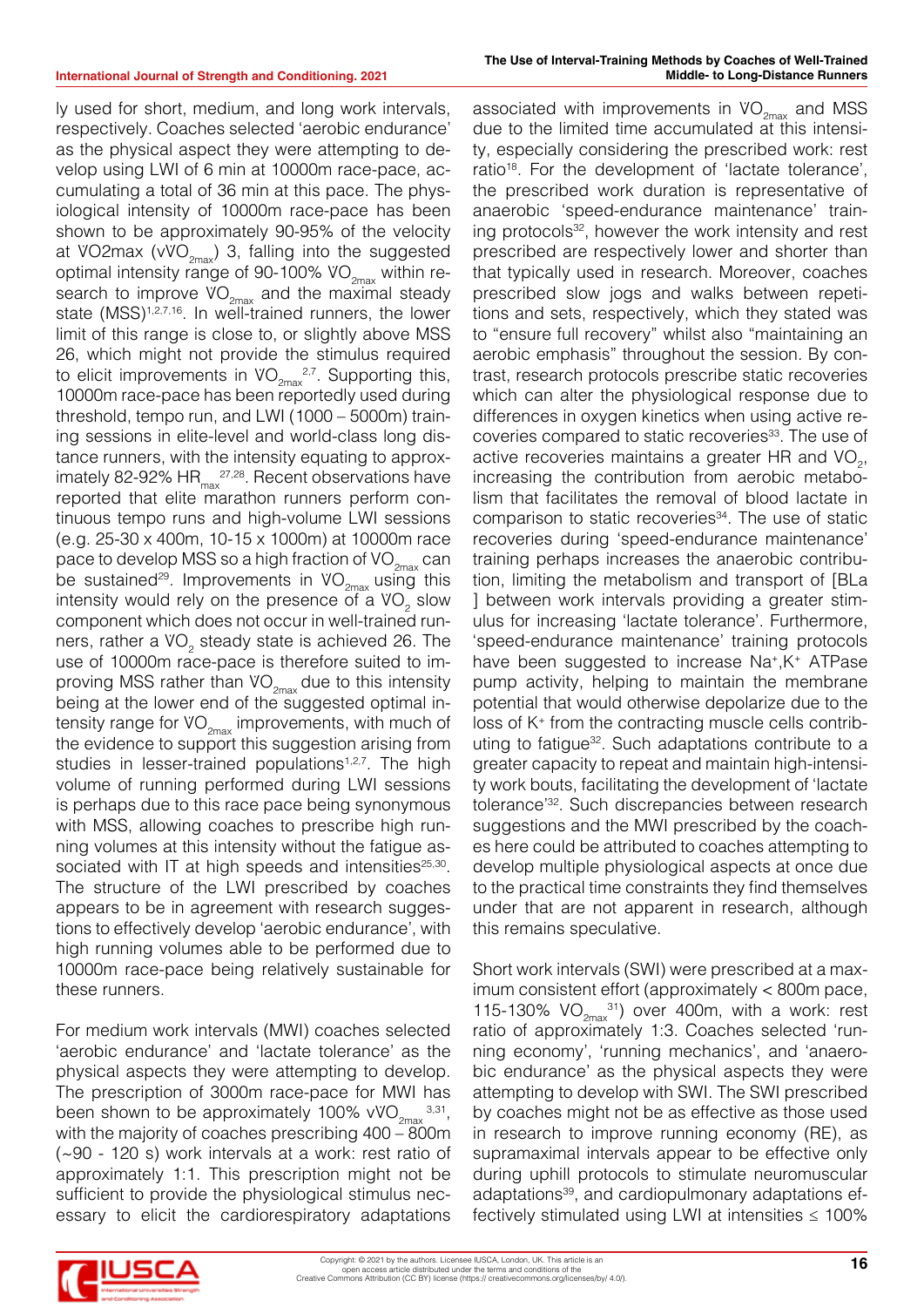as the physical aspect they were attempting to develop using LWI of 6 min at 10000m race-pace, accumulating a total of 36 min at this pace. The physiological intensity of 10000m race-pace has been shown to be approximately 90-95% of the velocity at VO2max (vVO<sub>2max</sub>) 3, falling into the suggested optimal intensity range of 90-100%  $VO_{2\text{max}}$  within research to improve  $VO_{2\text{max}}$  and the maximal steady state (MSS)<sup>1,2,7,16</sup>. In well-trained runners, the lower limit of this range is close to, or slightly above MSS 26, which might not provide the stimulus required to elicit improvements in  $\mathsf{VO}_{2\mathsf{max}}^{2,7}$ . Supporting this, 10000m race-pace has been reportedly used during threshold, tempo run, and LWI (1000 – 5000m) training sessions in elite-level and world-class long distance runners, with the intensity equating to approximately 82-92% HR<sub>max</sub><sup>27,28</sup>. Recent observations have reported that elite marathon runners perform continuous tempo runs and high-volume LWI sessions (e.g. 25-30 x 400m, 10-15 x 1000m) at 10000m race pace to develop MSS so a high fraction of  $VO_{2\text{max}}$  can be sustained<sup>29</sup>. Improvements in  $VO_{2\text{max}}$  using this intensity would rely on the presence of a  $\mathsf{VO}_2$  slow component which does not occur in well-trained runners, rather a VO<sub>2</sub> steady state is achieved 26. The use of 10000m race-pace is therefore suited to improving MSS rather than  $VO_{2\text{max}}$  due to this intensity being at the lower end of the suggested optimal intensity range for  $VO_{2m}$  improvements, with much of the evidence to support this suggestion arising from studies in lesser-trained populations<sup>1,2,7</sup>. The high volume of running performed during LWI sessions is perhaps due to this race pace being synonymous with MSS, allowing coaches to prescribe high running volumes at this intensity without the fatigue associated with IT at high speeds and intensities $25,30$ . The structure of the LWI prescribed by coaches appears to be in agreement with research suggestions to effectively develop 'aerobic endurance', with high running volumes able to be performed due to 10000m race-pace being relatively sustainable for these runners.

For medium work intervals (MWI) coaches selected 'aerobic endurance' and 'lactate tolerance' as the physical aspects they were attempting to develop. The prescription of 3000m race-pace for MWI has been shown to be approximately 100% vVO<sub>2max</sub>  $^{3,31}$ , with the majority of coaches prescribing 400 – 800m (~90 - 120 s) work intervals at a work: rest ratio of approximately 1:1. This prescription might not be sufficient to provide the physiological stimulus necessary to elicit the cardiorespiratory adaptations

associated with improvements in  $VO_{2\text{max}}$  and MSS due to the limited time accumulated at this intensity, especially considering the prescribed work: rest ratio<sup>18</sup>. For the development of 'lactate tolerance', the prescribed work duration is representative of anaerobic 'speed-endurance maintenance' training protocols<sup>32</sup>, however the work intensity and rest prescribed are respectively lower and shorter than that typically used in research. Moreover, coaches prescribed slow jogs and walks between repetitions and sets, respectively, which they stated was to "ensure full recovery" whilst also "maintaining an aerobic emphasis" throughout the session. By contrast, research protocols prescribe static recoveries which can alter the physiological response due to differences in oxygen kinetics when using active recoveries compared to static recoveries<sup>33</sup>. The use of active recoveries maintains a greater HR and  $VO_{2}$ , increasing the contribution from aerobic metabolism that facilitates the removal of blood lactate in comparison to static recoveries<sup>34</sup>. The use of static recoveries during 'speed-endurance maintenance' training perhaps increases the anaerobic contribution, limiting the metabolism and transport of [BLa ] between work intervals providing a greater stimulus for increasing 'lactate tolerance'. Furthermore, 'speed-endurance maintenance' training protocols have been suggested to increase Na+,K+ ATPase pump activity, helping to maintain the membrane potential that would otherwise depolarize due to the loss of K+ from the contracting muscle cells contributing to fatigue32. Such adaptations contribute to a greater capacity to repeat and maintain high-intensity work bouts, facilitating the development of 'lactate tolerance'32. Such discrepancies between research suggestions and the MWI prescribed by the coaches here could be attributed to coaches attempting to develop multiple physiological aspects at once due to the practical time constraints they find themselves under that are not apparent in research, although this remains speculative.

Short work intervals (SWI) were prescribed at a maximum consistent effort (approximately < 800m pace, 115-130%  $VO_{2\text{max}}^{31}$  over 400m, with a work: rest ratio of approximately 1:3. Coaches selected 'running economy', 'running mechanics', and 'anaerobic endurance' as the physical aspects they were attempting to develop with SWI. The SWI prescribed by coaches might not be as effective as those used in research to improve running economy (RE), as supramaximal intervals appear to be effective only during uphill protocols to stimulate neuromuscular adaptations<sup>39</sup>, and cardiopulmonary adaptations effectively stimulated using LWI at intensities  $\leq 100\%$ 

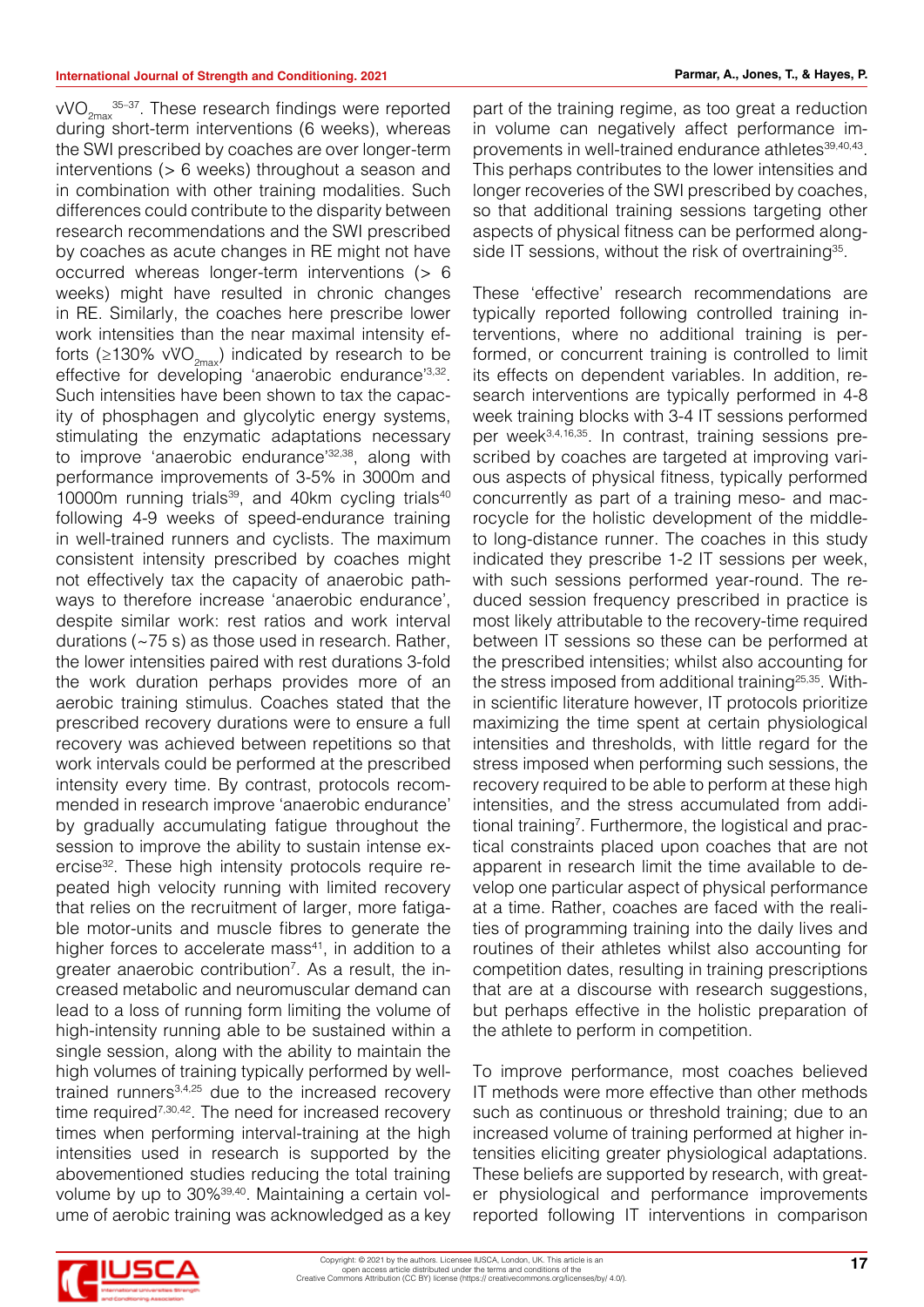$\text{vVO}_{2\text{max}}$ <sup>35-37</sup>. These research findings were reported during short-term interventions (6 weeks), whereas the SWI prescribed by coaches are over longer-term interventions (> 6 weeks) throughout a season and in combination with other training modalities. Such differences could contribute to the disparity between research recommendations and the SWI prescribed by coaches as acute changes in RE might not have occurred whereas longer-term interventions (> 6 weeks) might have resulted in chronic changes in RE. Similarly, the coaches here prescribe lower work intensities than the near maximal intensity efforts (≥130% vVO<sub>2max</sub>) indicated by research to be effective for developing 'anaerobic endurance'3,32. Such intensities have been shown to tax the capacity of phosphagen and glycolytic energy systems, stimulating the enzymatic adaptations necessary to improve 'anaerobic endurance'<sup>32,38</sup>, along with performance improvements of 3-5% in 3000m and 10000m running trials<sup>39</sup>, and 40km cycling trials<sup>40</sup> following 4-9 weeks of speed-endurance training in well-trained runners and cyclists. The maximum consistent intensity prescribed by coaches might not effectively tax the capacity of anaerobic pathways to therefore increase 'anaerobic endurance', despite similar work: rest ratios and work interval durations (~75 s) as those used in research. Rather, the lower intensities paired with rest durations 3-fold the work duration perhaps provides more of an aerobic training stimulus. Coaches stated that the prescribed recovery durations were to ensure a full recovery was achieved between repetitions so that work intervals could be performed at the prescribed intensity every time. By contrast, protocols recommended in research improve 'anaerobic endurance' by gradually accumulating fatigue throughout the session to improve the ability to sustain intense exercise<sup>32</sup>. These high intensity protocols require repeated high velocity running with limited recovery that relies on the recruitment of larger, more fatigable motor-units and muscle fibres to generate the higher forces to accelerate mass<sup>41</sup>, in addition to a greater anaerobic contribution<sup>7</sup>. As a result, the increased metabolic and neuromuscular demand can lead to a loss of running form limiting the volume of high-intensity running able to be sustained within a single session, along with the ability to maintain the high volumes of training typically performed by welltrained runners3,4,25 due to the increased recovery time required<sup>7,30,42</sup>. The need for increased recovery times when performing interval-training at the high intensities used in research is supported by the abovementioned studies reducing the total training volume by up to 30%39,40. Maintaining a certain volume of aerobic training was acknowledged as a key

part of the training regime, as too great a reduction in volume can negatively affect performance improvements in well-trained endurance athletes<sup>39,40,43</sup>. This perhaps contributes to the lower intensities and longer recoveries of the SWI prescribed by coaches, so that additional training sessions targeting other aspects of physical fitness can be performed alongside IT sessions, without the risk of overtraining<sup>35</sup>.

These 'effective' research recommendations are typically reported following controlled training interventions, where no additional training is performed, or concurrent training is controlled to limit its effects on dependent variables. In addition, research interventions are typically performed in 4-8 week training blocks with 3-4 IT sessions performed per week3,4,16,35. In contrast, training sessions prescribed by coaches are targeted at improving various aspects of physical fitness, typically performed concurrently as part of a training meso- and macrocycle for the holistic development of the middleto long-distance runner. The coaches in this study indicated they prescribe 1-2 IT sessions per week, with such sessions performed year-round. The reduced session frequency prescribed in practice is most likely attributable to the recovery-time required between IT sessions so these can be performed at the prescribed intensities; whilst also accounting for the stress imposed from additional training<sup>25,35</sup>. Within scientific literature however, IT protocols prioritize maximizing the time spent at certain physiological intensities and thresholds, with little regard for the stress imposed when performing such sessions, the recovery required to be able to perform at these high intensities, and the stress accumulated from additional training<sup>7</sup>. Furthermore, the logistical and practical constraints placed upon coaches that are not apparent in research limit the time available to develop one particular aspect of physical performance at a time. Rather, coaches are faced with the realities of programming training into the daily lives and routines of their athletes whilst also accounting for competition dates, resulting in training prescriptions that are at a discourse with research suggestions, but perhaps effective in the holistic preparation of the athlete to perform in competition.

To improve performance, most coaches believed IT methods were more effective than other methods such as continuous or threshold training; due to an increased volume of training performed at higher intensities eliciting greater physiological adaptations. These beliefs are supported by research, with greater physiological and performance improvements reported following IT interventions in comparison

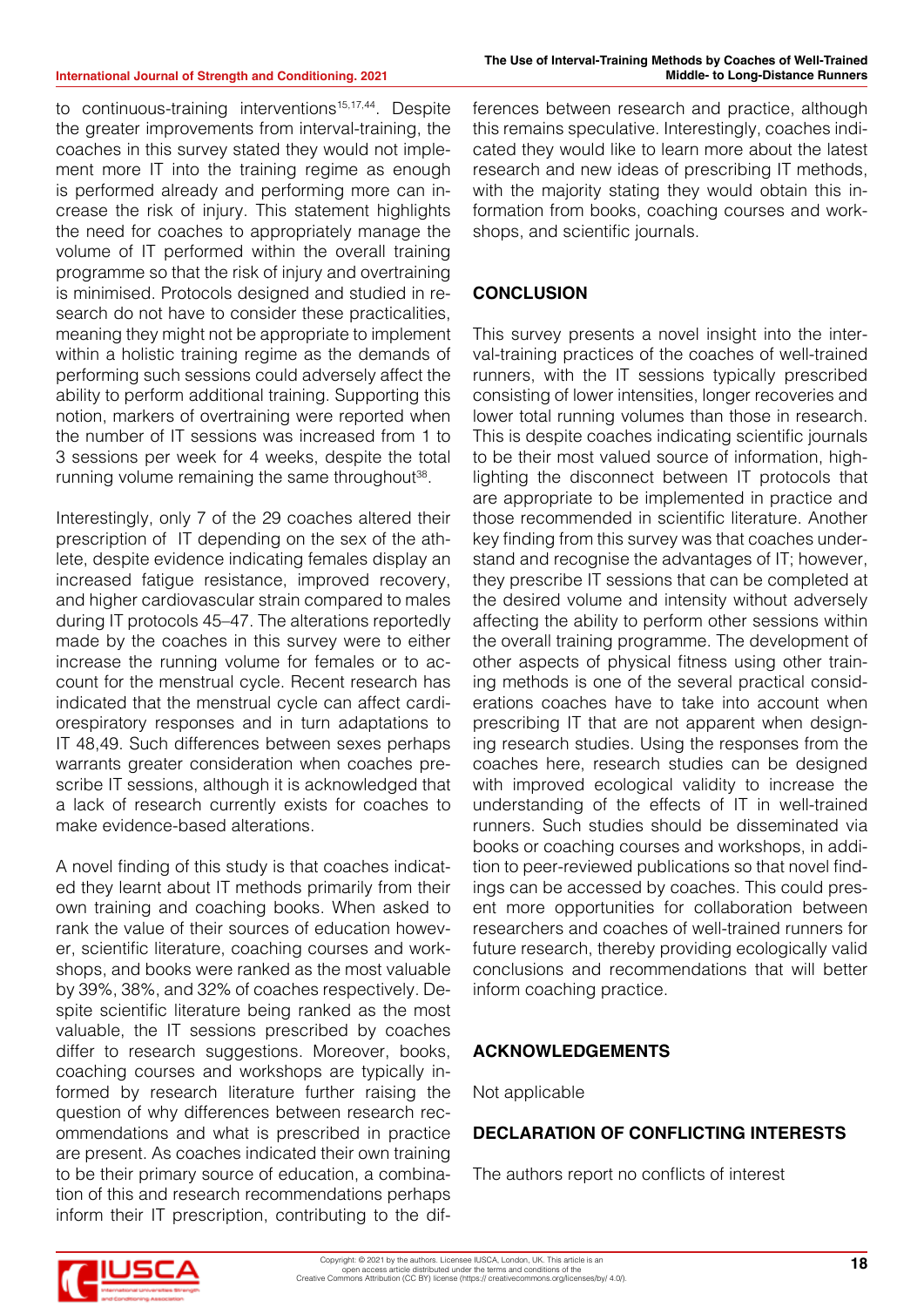#### **International Journal of Strength and Conditioning. 2021**

to continuous-training interventions<sup>15,17,44</sup>. Despite the greater improvements from interval-training, the coaches in this survey stated they would not implement more IT into the training regime as enough is performed already and performing more can increase the risk of injury. This statement highlights the need for coaches to appropriately manage the volume of IT performed within the overall training programme so that the risk of injury and overtraining is minimised. Protocols designed and studied in research do not have to consider these practicalities, meaning they might not be appropriate to implement within a holistic training regime as the demands of performing such sessions could adversely affect the ability to perform additional training. Supporting this notion, markers of overtraining were reported when the number of IT sessions was increased from 1 to 3 sessions per week for 4 weeks, despite the total running volume remaining the same throughout<sup>38</sup>.

Interestingly, only 7 of the 29 coaches altered their prescription of IT depending on the sex of the athlete, despite evidence indicating females display an increased fatigue resistance, improved recovery, and higher cardiovascular strain compared to males during IT protocols 45–47. The alterations reportedly made by the coaches in this survey were to either increase the running volume for females or to account for the menstrual cycle. Recent research has indicated that the menstrual cycle can affect cardiorespiratory responses and in turn adaptations to IT 48,49. Such differences between sexes perhaps warrants greater consideration when coaches prescribe IT sessions, although it is acknowledged that a lack of research currently exists for coaches to make evidence-based alterations.

A novel finding of this study is that coaches indicated they learnt about IT methods primarily from their own training and coaching books. When asked to rank the value of their sources of education however, scientific literature, coaching courses and workshops, and books were ranked as the most valuable by 39%, 38%, and 32% of coaches respectively. Despite scientific literature being ranked as the most valuable, the IT sessions prescribed by coaches differ to research suggestions. Moreover, books, coaching courses and workshops are typically informed by research literature further raising the question of why differences between research recommendations and what is prescribed in practice are present. As coaches indicated their own training to be their primary source of education, a combination of this and research recommendations perhaps inform their IT prescription, contributing to the dif-

ferences between research and practice, although this remains speculative. Interestingly, coaches indicated they would like to learn more about the latest research and new ideas of prescribing IT methods, with the majority stating they would obtain this information from books, coaching courses and workshops, and scientific journals.

#### **CONCLUSION**

This survey presents a novel insight into the interval-training practices of the coaches of well-trained runners, with the IT sessions typically prescribed consisting of lower intensities, longer recoveries and lower total running volumes than those in research. This is despite coaches indicating scientific journals to be their most valued source of information, highlighting the disconnect between IT protocols that are appropriate to be implemented in practice and those recommended in scientific literature. Another key finding from this survey was that coaches understand and recognise the advantages of IT; however, they prescribe IT sessions that can be completed at the desired volume and intensity without adversely affecting the ability to perform other sessions within the overall training programme. The development of other aspects of physical fitness using other training methods is one of the several practical considerations coaches have to take into account when prescribing IT that are not apparent when designing research studies. Using the responses from the coaches here, research studies can be designed with improved ecological validity to increase the understanding of the effects of IT in well-trained runners. Such studies should be disseminated via books or coaching courses and workshops, in addition to peer-reviewed publications so that novel findings can be accessed by coaches. This could present more opportunities for collaboration between researchers and coaches of well-trained runners for future research, thereby providing ecologically valid conclusions and recommendations that will better inform coaching practice.

#### **ACKNOWLEDGEMENTS**

Not applicable

#### **DECLARATION OF CONFLICTING INTERESTS**

The authors report no conflicts of interest

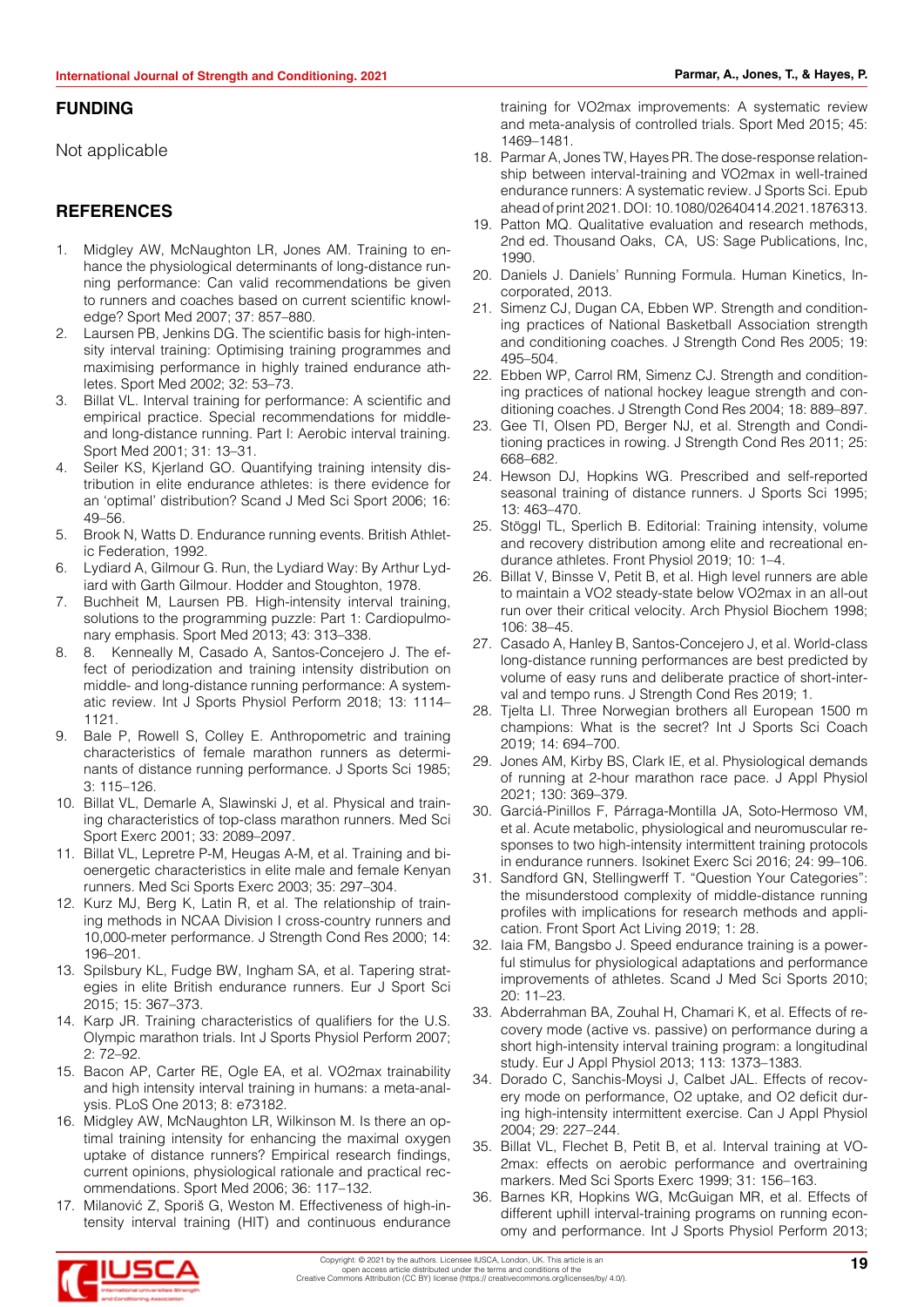#### **FUNDING**

Not applicable

#### **REFERENCES**

- 1. Midgley AW, McNaughton LR, Jones AM. Training to enhance the physiological determinants of long-distance running performance: Can valid recommendations be given to runners and coaches based on current scientific knowledge? Sport Med 2007; 37: 857–880.
- 2. Laursen PB, Jenkins DG. The scientific basis for high-intensity interval training: Optimising training programmes and maximising performance in highly trained endurance athletes. Sport Med 2002; 32: 53–73.
- 3. Billat VL. Interval training for performance: A scientific and empirical practice. Special recommendations for middleand long-distance running. Part I: Aerobic interval training. Sport Med 2001; 31: 13–31.
- 4. Seiler KS, Kjerland GO. Quantifying training intensity distribution in elite endurance athletes: is there evidence for an 'optimal' distribution? Scand J Med Sci Sport 2006; 16: 49–56.
- 5. Brook N, Watts D. Endurance running events. British Athletic Federation, 1992.
- 6. Lydiard A, Gilmour G. Run, the Lydiard Way: By Arthur Lydiard with Garth Gilmour. Hodder and Stoughton, 1978.
- 7. Buchheit M, Laursen PB. High-intensity interval training, solutions to the programming puzzle: Part 1: Cardiopulmonary emphasis. Sport Med 2013; 43: 313–338.
- 8. Kenneally M, Casado A, Santos-Concejero J. The effect of periodization and training intensity distribution on middle- and long-distance running performance: A systematic review. Int J Sports Physiol Perform 2018; 13: 1114– 1121.
- 9. Bale P, Rowell S, Colley E. Anthropometric and training characteristics of female marathon runners as determinants of distance running performance. J Sports Sci 1985; 3: 115–126.
- 10. Billat VL, Demarle A, Slawinski J, et al. Physical and training characteristics of top-class marathon runners. Med Sci Sport Exerc 2001; 33: 2089–2097.
- 11. Billat VL, Lepretre P-M, Heugas A-M, et al. Training and bioenergetic characteristics in elite male and female Kenyan runners. Med Sci Sports Exerc 2003; 35: 297–304.
- 12. Kurz MJ, Berg K, Latin R, et al. The relationship of training methods in NCAA Division I cross-country runners and 10,000-meter performance. J Strength Cond Res 2000; 14: 196–201.
- 13. Spilsbury KL, Fudge BW, Ingham SA, et al. Tapering strategies in elite British endurance runners. Eur J Sport Sci 2015; 15: 367–373.
- 14. Karp JR. Training characteristics of qualifiers for the U.S. Olympic marathon trials. Int J Sports Physiol Perform 2007; 2: 72–92.
- 15. Bacon AP, Carter RE, Ogle EA, et al. VO2max trainability and high intensity interval training in humans: a meta-analysis. PLoS One 2013; 8: e73182.
- 16. Midgley AW, McNaughton LR, Wilkinson M. Is there an optimal training intensity for enhancing the maximal oxygen uptake of distance runners? Empirical research findings, current opinions, physiological rationale and practical recommendations. Sport Med 2006; 36: 117–132.
- 17. Milanović Z, Sporiš G, Weston M. Effectiveness of high-intensity interval training (HIT) and continuous endurance

training for VO2max improvements: A systematic review and meta-analysis of controlled trials. Sport Med 2015; 45: 1469–1481.

- 18. Parmar A, Jones TW, Hayes PR. The dose-response relationship between interval-training and V̇O2max in well-trained endurance runners: A systematic review. J Sports Sci. Epub ahead of print 2021. DOI: 10.1080/02640414.2021.1876313.
- 19. Patton MQ. Qualitative evaluation and research methods, 2nd ed. Thousand Oaks, CA, US: Sage Publications, Inc, 1990.
- 20. Daniels J. Daniels' Running Formula. Human Kinetics, Incorporated, 2013.
- 21. Simenz CJ, Dugan CA, Ebben WP. Strength and conditioning practices of National Basketball Association strength and conditioning coaches. J Strength Cond Res 2005; 19: 495–504.
- 22. Ebben WP, Carrol RM, Simenz CJ. Strength and conditioning practices of national hockey league strength and conditioning coaches. J Strength Cond Res 2004; 18: 889–897.
- 23. Gee TI, Olsen PD, Berger NJ, et al. Strength and Conditioning practices in rowing. J Strength Cond Res 2011; 25: 668–682.
- 24. Hewson DJ, Hopkins WG. Prescribed and self-reported seasonal training of distance runners. J Sports Sci 1995; 13: 463–470.
- 25. Stöggl TL, Sperlich B. Editorial: Training intensity, volume and recovery distribution among elite and recreational endurance athletes. Front Physiol 2019; 10: 1–4.
- 26. Billat V, Binsse V, Petit B, et al. High level runners are able to maintain a VO2 steady-state below VO2max in an all-out run over their critical velocity. Arch Physiol Biochem 1998; 106: 38–45.
- 27. Casado A, Hanley B, Santos-Concejero J, et al. World-class long-distance running performances are best predicted by volume of easy runs and deliberate practice of short-interval and tempo runs. J Strength Cond Res 2019; 1.
- 28. Tjelta LI. Three Norwegian brothers all European 1500 m champions: What is the secret? Int J Sports Sci Coach 2019; 14: 694–700.
- 29. Jones AM, Kirby BS, Clark IE, et al. Physiological demands of running at 2-hour marathon race pace. J Appl Physiol 2021; 130: 369–379.
- 30. Garciá-Pinillos F, Párraga-Montilla JA, Soto-Hermoso VM, et al. Acute metabolic, physiological and neuromuscular responses to two high-intensity intermittent training protocols in endurance runners. Isokinet Exerc Sci 2016; 24: 99–106.
- 31. Sandford GN, Stellingwerff T. "Question Your Categories": the misunderstood complexity of middle-distance running profiles with implications for research methods and application. Front Sport Act Living 2019; 1: 28.
- 32. Iaia FM, Bangsbo J. Speed endurance training is a powerful stimulus for physiological adaptations and performance improvements of athletes. Scand J Med Sci Sports 2010; 20: 11–23.
- 33. Abderrahman BA, Zouhal H, Chamari K, et al. Effects of recovery mode (active vs. passive) on performance during a short high-intensity interval training program: a longitudinal study. Eur J Appl Physiol 2013; 113: 1373–1383.
- 34. Dorado C, Sanchis-Moysi J, Calbet JAL. Effects of recovery mode on performance, O2 uptake, and O2 deficit during high-intensity intermittent exercise. Can J Appl Physiol 2004; 29: 227–244.
- 35. Billat VL, Flechet B, Petit B, et al. Interval training at VO-2max: effects on aerobic performance and overtraining markers. Med Sci Sports Exerc 1999; 31: 156–163.
- 36. Barnes KR, Hopkins WG, McGuigan MR, et al. Effects of different uphill interval-training programs on running economy and performance. Int J Sports Physiol Perform 2013;